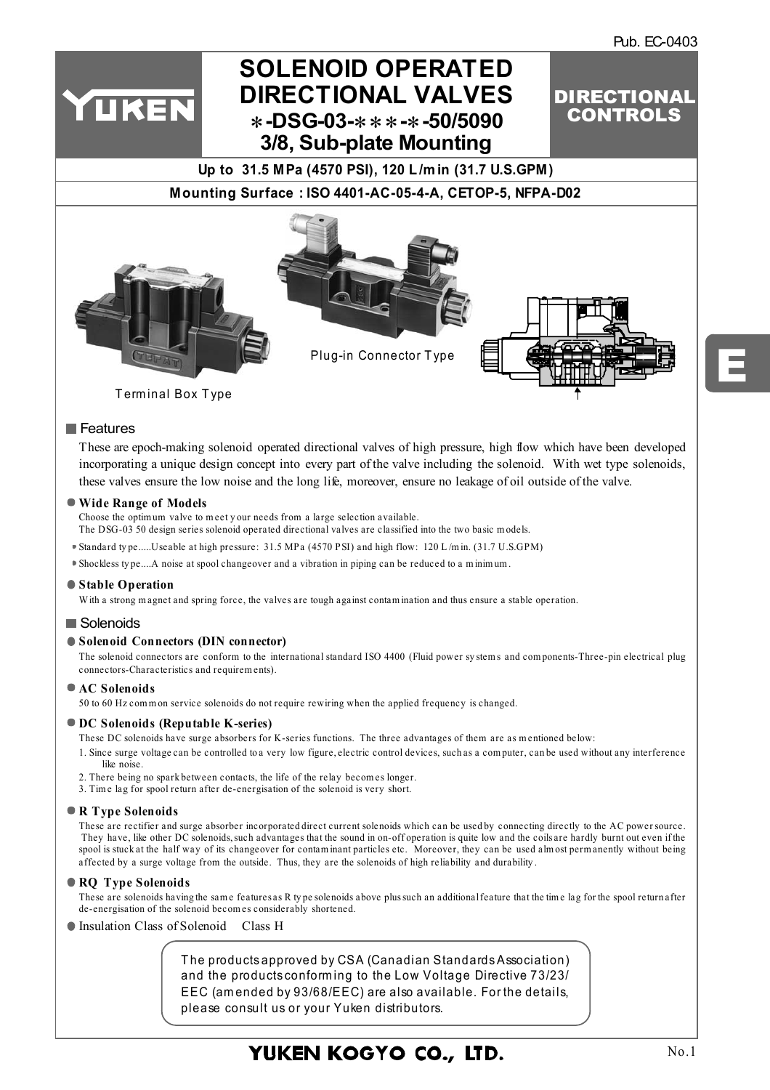DIRECTIONAL **CONTROLS** 



# **Up to 31.5 MPa (4570 PSI), 120 L /m in (31.7 U.S.GPM)**

## **Mounting Surface : ISO 4401-AC-05-4-A, CETOP-5, NFPA-D02**



Terminal Box Type

#### **Features**

These are epoch-making solenoid operated directional valves of high pressure, high flow which have been developed incorporating a unique design concept into every part of the valve including the solenoid. With wet type solenoids, these valves ensure the low noise and the long life, moreover, ensure no leakage of oil outside of the valve.

#### **Wide Range of Models**

YUKEN

Choose the optim um valve to m eet y our needs from a large selection available.

The DSG-03 50 design series solenoid operated directional valves are classified into the two basic m odels.

- Standard ty pe.....Useable at high pressure: 31.5 MPa (4570 PSI) and high flow: 120 L /m in. (31.7 U.S.GPM)
- Shockless ty pe....A noise at spool changeover and a vibration in piping can be reduced to a m inim um .

#### **Stable Operation**

W ith a strong m agnet and spring force, the valves are tough against contam ination and thus ensure a stable operation.

#### Solenoids

#### **Solenoid Connectors (DIN connector)**

The solenoid connectors are conform to the international standard ISO 4400 (Fluid power sy stem s and com ponents-Three-pin electrical plug connectors-Characteristics and requirem ents).

#### **AC Solenoids**

50 to 60 Hz com m on service solenoids do not require rewiring when the applied frequency is changed.

#### **DC Solenoids (Reputable K-series)**

These DC solenoids have surge absorbers for K-series functions. The three advantages of them are as mentioned below:

- 1. Since surge voltage can be controlled to a very low figure, electric control devices, such as a com puter, can be used without any interference like noise.
- 2. There being no spark between contacts, the life of the relay becom es longer.
- 3. Tim e lag for spool return after de-energisation of the solenoid is very short.

#### **R Type Solenoids**

These are rectifier and surge absorber incorporated direct current solenoids which can be used by connecting directly to the AC power source. They have, like other DC solenoids, such advantages that the sound in on-off operation is quite low and the coils are hardly burnt out even if the spool is stuck at the half way of its changeover for contam inant particles etc. Moreover, they can be used alm ost perm anently without being affected by a surge voltage from the outside. Thus, they are the solenoids of high reliability and durability .

#### **RQ Type Solenoids**

These are solenoids having the same features as R type solenoids above plus such an additional feature that the time lag for the spool return after de-energisation of the solenoid becom es considerably shortened.

Insulation Class of Solenoid Class H

T he products approved by CSA (Canadian Standards Association) and the products conform ing to the Low Voltage Directive 73/23/ EEC (am ended by 93/68/EEC) are also available. For the details, please consult us or your Yuken distributors.

## YUKEN KOGYO CO., LTD.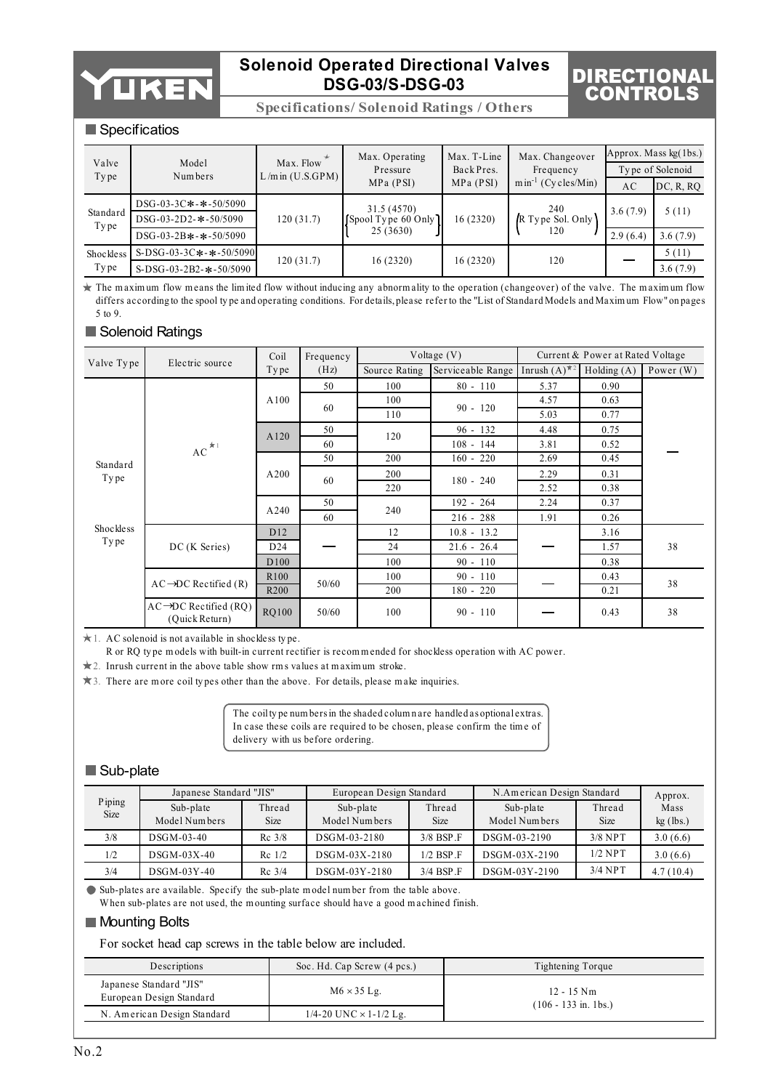

**Specifications/ Solenoid Ratings / Others**

## DIRECTIONAL CONTROLS

#### Specificatios

| Valve<br>Type    | Model<br>Numbers          | Max. Flow<br>$L/m$ in $(U.S.GPM)$ | Max. Operating<br>Pressure | Max. T-Line<br>Back Pres. | Max. Changeover<br>Frequency | Approx. Mass $kg(1bs.)$<br>Type of Solenoid |           |  |
|------------------|---------------------------|-----------------------------------|----------------------------|---------------------------|------------------------------|---------------------------------------------|-----------|--|
|                  |                           |                                   | MPa (PSI)                  | MPa (PSI)                 | $min^{-1}$ (Cy cles/Min)     | AC                                          | DC, R, RQ |  |
|                  | DSG-03-3C*-*-50/5090      |                                   | 31.5 (4570)                |                           | 240                          |                                             |           |  |
| Standard<br>Type | $DSG-03-2D2-$ *-50/5090   | 120(31.7)                         | $[$ Spool Type 60 Only $]$ | 16(2320)                  | R Type Sol. Only             | 3.6(7.9)                                    | 5(11)     |  |
|                  | $DSG-03-2B*-\$ - 50/5090  |                                   | 25(3630)                   |                           | 120                          | 2.9(6.4)                                    | 3.6(7.9)  |  |
| Shockless        | $S-DSG-03-3C*-*-50/5090$  |                                   | 16(2320)                   | 16(2320)                  | 120                          |                                             | 5(11)     |  |
| Type             | $S-DSG-03-2B2-$ *-50/5090 | 120 (31.7)                        |                            |                           |                              |                                             | 3.6(7.9)  |  |

 $\star$  The m aximum flow means the limited flow without inducing any abnormality to the operation (changeover) of the valve. The m aximum flow differs according to the spool ty pe and operating conditions. For details, please refer to the "List of Standard Models and Maxim um Flow" on pages 5 to 9.

## Solenoid Ratings

|                  | Electric source                                      | Coil             | Frequency |               | Voltage $(V)$     |                    | Current & Power at Rated Voltage |             |  |
|------------------|------------------------------------------------------|------------------|-----------|---------------|-------------------|--------------------|----------------------------------|-------------|--|
| Valve Type       |                                                      | Type             | (Hz)      | Source Rating | Serviceable Range | Inrush $(A)^{\pi}$ | Holding(A)                       | Power $(W)$ |  |
|                  |                                                      |                  | 50        | 100           | $80 - 110$        | 5.37               | 0.90                             |             |  |
|                  |                                                      | A100             | 60        | 100           | $90 - 120$        | 4.57               | 0.63                             |             |  |
| Standard<br>Type |                                                      |                  |           | 110           |                   | 5.03               | 0.77                             |             |  |
|                  |                                                      | A120             | 50        | 120           | $96 - 132$        | 4.48               | 0.75                             |             |  |
|                  | $\mathbf{AC}^{\textstyle\#\mathbf{1}}$               |                  | 60        |               | $108 - 144$       | 3.81               | 0.52                             |             |  |
|                  |                                                      |                  | 50        | 200           | $160 - 220$       | 2.69               | 0.45                             |             |  |
|                  |                                                      | A200             | 60        | 200           | $180 - 240$       | 2.29               | 0.31                             |             |  |
|                  |                                                      |                  |           | 220           |                   | 2.52               | 0.38                             |             |  |
|                  |                                                      | A240             | 50        | 240           | $192 - 264$       | 2.24               | 0.37                             |             |  |
|                  |                                                      |                  | 60        |               | $216 - 288$       | 1.91               | 0.26                             |             |  |
| Shockless        |                                                      | D <sub>12</sub>  |           | 12            | $10.8 - 13.2$     |                    | 3.16                             |             |  |
| Type             | DC (K Series)                                        | D <sub>24</sub>  |           | 24            | $21.6 - 26.4$     |                    | 1.57                             | 38          |  |
|                  |                                                      | D <sub>100</sub> |           | 100           | $90 - 110$        |                    | 0.38                             |             |  |
|                  | $AC \rightarrow DC$ Rectified $(R)$                  | R <sub>100</sub> | 50/60     | 100           | $90 - 110$        |                    | 0.43                             | 38          |  |
|                  |                                                      | R <sub>200</sub> |           | 200           | $180 - 220$       |                    | 0.21                             |             |  |
|                  | $AC \rightarrow DC$ Rectified (RO)<br>(Ouick Return) | <b>RQ100</b>     | 50/60     | 100           | $90 - 110$        |                    | 0.43                             | 38          |  |

1. AC solenoid is not available in shockless ty pe.

R or RQ ty pe m odels with built-in current rectifier is recom m ended for shockless operation with AC power.

2. Inrush current in the above table show rm s values at m axim um stroke.

3. There are m ore coil ty pes other than the above. For details, please m ake inquiries.

The coil ty pe num bers in the shaded colum n are handled as optional extras. In case these coils are required to be chosen, please confirm the tim e of delivery with us before ordering.

#### Sub-plate

| Piping<br><b>Size</b> | Japanese Standard "JIS" |                              | European Design Standard |                    | N.American Design Standard | Approx.   |             |
|-----------------------|-------------------------|------------------------------|--------------------------|--------------------|----------------------------|-----------|-------------|
|                       | Sub-plate               | Thread                       | Sub-plate                | Thread             | Sub-plate                  | Thread    | Mass        |
|                       | Model Numbers           | Model Numbers<br><b>Size</b> |                          | <b>Size</b>        | Model Numbers              | Size      | $kg$ (lbs.) |
| 3/8                   | $DSGM-03-40$            | $Rc$ 3/8                     | DSGM-03-2180             | $3/8$ BSP $\Gamma$ | DSGM-03-2190               | $3/8$ NPT | 3.0(6.6)    |
| 1/2                   | $DSGM-03X-40$           | $Rc$ 1/2                     | $DSGM-03X-2180$          | $1/2$ BSP $\Gamma$ | DSGM-03X-2190              | $1/2$ NPT | 3.0(6.6)    |
| 3/4                   | $DSGM-03Y-40$           | $Rc$ 3/4                     | DSGM-03Y-2180            | 3/4 BSP.F          | DSGM-03Y-2190              | $3/4$ NPT | 4.7(10.4)   |

Sub-plates are available. Specify the sub-plate m odel num ber from the table above. W hen sub-plates are not used, the m ounting surface should have a good m achined finish.

#### **Mounting Bolts**

For socket head cap screws in the table below are included.

| Descriptions                                        | Soc. Hd. Cap Screw (4 pcs.)       | Tightening Torque                      |
|-----------------------------------------------------|-----------------------------------|----------------------------------------|
| Japanese Standard "JIS"<br>European Design Standard | $M6 \times 35$ Lg.                | $12 - 15$ Nm<br>$(106 - 133$ in. 1bs.) |
| N. American Design Standard                         | $1/4 - 20$ UNC $\times$ 1-1/2 Lg. |                                        |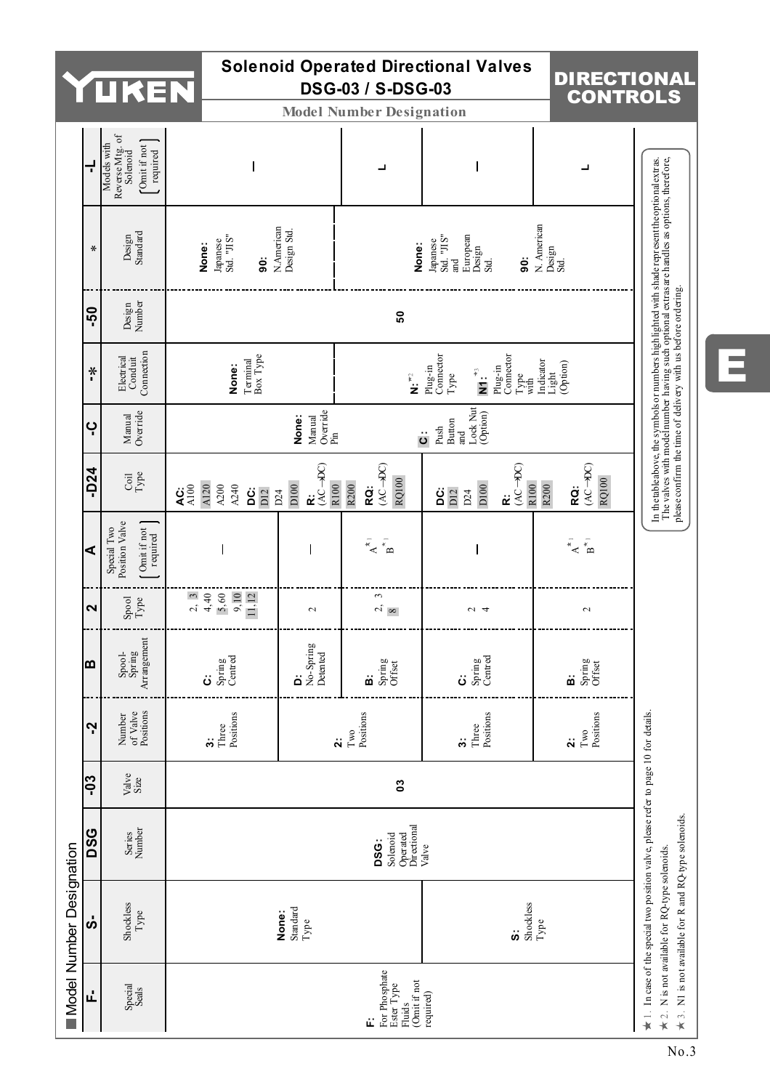| <b>Solenoid Operated Directional Valves</b><br>DIRECTIONA<br><b>DSG-03 / S-DSG-03</b><br>TUREN<br><b>CONTROLS</b><br><b>Model Number Designation</b> |                   |                                                                           |                                                                                                      |                                                                                                                                                                                                                                                       |                                                      |                                                                                          |                                               |                                                                                                                                                                                                 |  |  |  |  |  |  |
|------------------------------------------------------------------------------------------------------------------------------------------------------|-------------------|---------------------------------------------------------------------------|------------------------------------------------------------------------------------------------------|-------------------------------------------------------------------------------------------------------------------------------------------------------------------------------------------------------------------------------------------------------|------------------------------------------------------|------------------------------------------------------------------------------------------|-----------------------------------------------|-------------------------------------------------------------------------------------------------------------------------------------------------------------------------------------------------|--|--|--|--|--|--|
|                                                                                                                                                      |                   |                                                                           |                                                                                                      |                                                                                                                                                                                                                                                       |                                                      |                                                                                          |                                               |                                                                                                                                                                                                 |  |  |  |  |  |  |
|                                                                                                                                                      | ᆛ                 | Reverse Mtg. of<br>Solenoid<br>$f$ Omit if not<br>Models with<br>required |                                                                                                      |                                                                                                                                                                                                                                                       |                                                      |                                                                                          | ┙                                             |                                                                                                                                                                                                 |  |  |  |  |  |  |
|                                                                                                                                                      | $\ast$            | Design<br>Standard                                                        | N.American<br>Japanese<br>Std. "JIS"<br>None:<br>$\ddot{\mathbf{e}}$                                 | Design Std.                                                                                                                                                                                                                                           | None:                                                | European<br>Std. "JIS"<br>Japanese<br>Design<br>Std.<br>$\ddot{\mathbf{e}}$<br>and       | N. American<br>Design<br>Std.                 | In the table above, the symbols or numbers highlighted with shader epresent the optional extras.<br>The valves with model number having such optional extras are handles as options, therefore, |  |  |  |  |  |  |
|                                                                                                                                                      | -50               | Design<br>Number                                                          |                                                                                                      | SO                                                                                                                                                                                                                                                    |                                                      |                                                                                          |                                               |                                                                                                                                                                                                 |  |  |  |  |  |  |
|                                                                                                                                                      | $\ddot{\hat{}}$   | Connection<br>Electrical<br>Conduit                                       | Box Type<br>Terminal<br>None:                                                                        |                                                                                                                                                                                                                                                       | יִّ<br>צ                                             | Plug-in<br>Connector<br>Plug-in<br>Connector<br>$\sum_{i=1}^{n}$<br>Type<br>Type<br>with | Indicator<br>Light<br>(Option)                | please confirm the time of delivery with us before ordering.                                                                                                                                    |  |  |  |  |  |  |
|                                                                                                                                                      | ပှ                | Manual<br>Override                                                        |                                                                                                      | Lock Nut<br>Override<br>(Option)<br>None:<br>Manual<br>Button<br>Push<br>$P_{\text{in}}$<br><br>ن<br>and                                                                                                                                              |                                                      |                                                                                          |                                               |                                                                                                                                                                                                 |  |  |  |  |  |  |
|                                                                                                                                                      | $-D24$            | $_{\rm Type}^{\rm {coil}}$                                                | A120<br>4ë®<br>A200<br>A240<br>ä<br>DI2                                                              | $\mathbf{R}$<br>$(\mathbb{AC} \rightarrow \mathbb{DC})$<br>$(AC \rightarrow BC)$<br>$(AC = BC)$<br>$(AC \rightarrow DC)$<br><b>RQ100</b><br><b>RQ100</b><br>R100<br>R200<br>R200<br>R100<br>$D100$<br>RQ:<br>ġ<br>D100<br>ä<br>DI2<br>D24<br>D24<br>ż |                                                      |                                                                                          |                                               |                                                                                                                                                                                                 |  |  |  |  |  |  |
|                                                                                                                                                      | ⋖                 | Position Valve<br>Omit if not<br>Special Two<br>required                  |                                                                                                      |                                                                                                                                                                                                                                                       | $\mathbf{A}^{\star_1}$<br>$\bar{\hat{\mathbf{B}}}^*$ |                                                                                          | $A^{\star_1}$<br>$\mathbf{B}^{\star_{\perp}}$ |                                                                                                                                                                                                 |  |  |  |  |  |  |
|                                                                                                                                                      | $\mathbf{\Omega}$ | $_{\rm Type}^{\rm Spol}$                                                  | $\mathfrak{S}$<br>9,10<br>4,40<br>5,60<br>11,12<br>$\overline{2},$                                   | $\mathbf{\sim}$                                                                                                                                                                                                                                       | 3<br>$\frac{2}{8}$                                   | $\sim$ 4                                                                                 | $\sim$                                        |                                                                                                                                                                                                 |  |  |  |  |  |  |
|                                                                                                                                                      | m                 | Arrangement<br>Spool-<br>Spring                                           | Spring<br>Centred<br>ڗ                                                                               | No-Spring<br>Detented<br>ä                                                                                                                                                                                                                            | Spring<br>Offset<br>ö                                | Spring<br>Centred<br>ن                                                                   | Spring<br>Offset<br>ö                         |                                                                                                                                                                                                 |  |  |  |  |  |  |
|                                                                                                                                                      | <u>ุว</u>         | Positions<br>of Valve<br>Number                                           | Positions<br>Three<br>$\ddot{\bm{5}}$                                                                | $\ddot{\mathbf{v}}$                                                                                                                                                                                                                                   | Positions<br>$_{\rm Two}$                            | Positions<br>Three<br>$\ddot{\bm{s}}$                                                    | Two<br>Positions<br>$\ddot{\mathbf{a}}$       |                                                                                                                                                                                                 |  |  |  |  |  |  |
|                                                                                                                                                      | $-03$             | Valve<br>Size                                                             | $\boldsymbol{c}$                                                                                     |                                                                                                                                                                                                                                                       |                                                      |                                                                                          |                                               |                                                                                                                                                                                                 |  |  |  |  |  |  |
|                                                                                                                                                      | <b>DSG</b>        | Series<br>Number                                                          |                                                                                                      | Operated<br>Directional<br>Solenoid<br>DSG:<br>Valve                                                                                                                                                                                                  |                                                      |                                                                                          |                                               |                                                                                                                                                                                                 |  |  |  |  |  |  |
| Model Number Designation                                                                                                                             | ဟ်                | Shockless<br>$Type$                                                       |                                                                                                      | $\frac{\text{Standard}}{\text{Type}}$<br>None:                                                                                                                                                                                                        |                                                      |                                                                                          | Shockless<br>Type                             | $\star$ 1. In case of the special two position valve, please refer to page 10 for details.<br>N1 is not available for R and RQ-type solenoids.<br>N is not available for RQ-type solenoids.     |  |  |  |  |  |  |
|                                                                                                                                                      | ய்                | Special<br>Seals                                                          | For Phosphate<br>Fluids<br>(Omit if not<br>Ester Type<br>required)<br>$\star$ 2.<br>$\star$ 3.<br>ú. |                                                                                                                                                                                                                                                       |                                                      |                                                                                          |                                               |                                                                                                                                                                                                 |  |  |  |  |  |  |

# E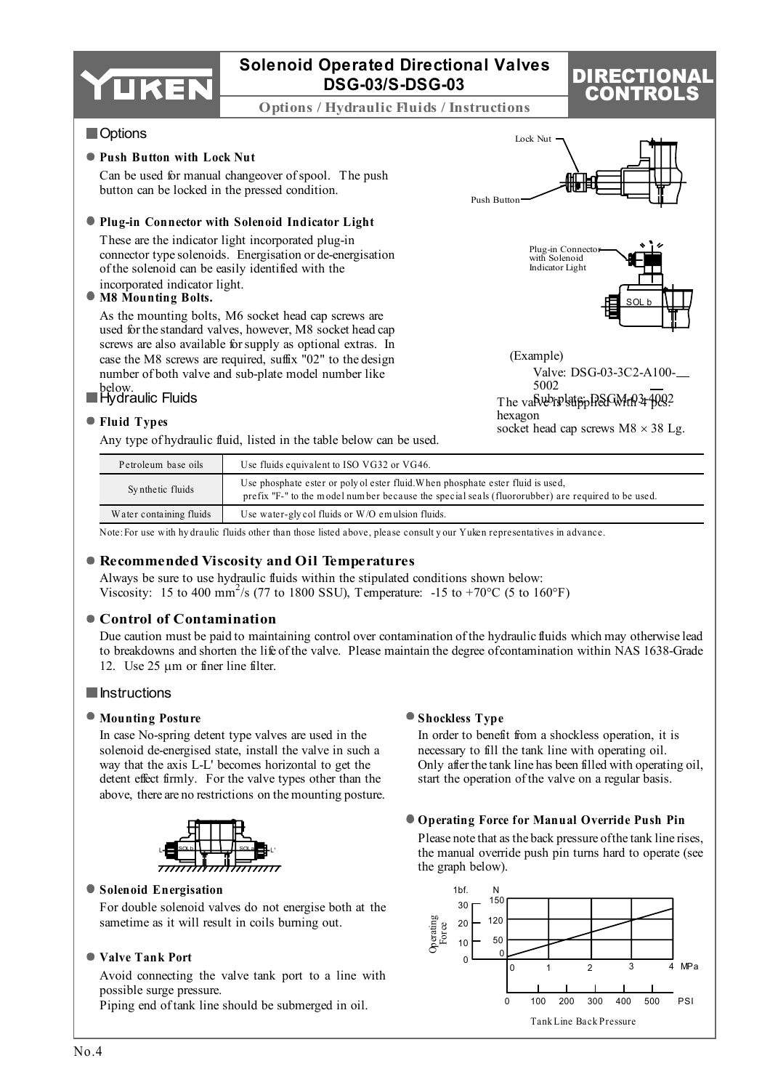

**Options / Hydraulic Fluids / Instructions**

## **Options**

#### **Push Button with Lock Nut**

Can be used for manual changeover of spool. The push button can be locked in the pressed condition.

#### **Plug-in Connector with Solenoid Indicator Light**

These are the indicator light incorporated plug-in connector type solenoids. Energisation or de-energisation of the solenoid can be easily identified with the incorporated indicator light.

#### **M8 Mounting Bolts.**

As the mounting bolts, M6 socket head cap screws are used for the standard valves, however, M8 socket head cap screws are also available for supply as optional extras. In case the M8 screws are required, suffix "02" to the design number of both valve and sub-plate model number like

## below.<br>**Hydraulic Fluids**

## **Fluid Types**

Any type of hydraulic fluid, listed in the table below can be used.



DIRECTION

CONTROLS

(Example) Valve: DSG-03-3C2-A100- 5002 The value is subject to DSGM-03-4002 hexagon

socket head cap screws  $M8 \times 38$  Lg.

| Petroleum base oils     | Use fluids equivalent to ISO VG32 or VG46.                                                                                                                                           |
|-------------------------|--------------------------------------------------------------------------------------------------------------------------------------------------------------------------------------|
| Synthetic fluids        | Use phosphate ester or poly of ester fluid. When phosphate ester fluid is used,<br>prefix "F-" to the model number because the special seals (fluororubber) are required to be used. |
| Water containing fluids | Use water-gly col fluids or W/O emulsion fluids.                                                                                                                                     |

Note:For use with hy draulic fluids other than those listed above, please consult y our Yuken representatives in advance.

## **Recommended Viscosity and Oil Temperatures**

Always be sure to use hydraulic fluids within the stipulated conditions shown below: Viscosity: 15 to 400 mm<sup>2</sup>/s (77 to 1800 SSU), Temperature: -15 to +70°C (5 to 160°F)

#### **Control of Contamination**

Due caution must be paid to maintaining control over contamination of the hydraulic fluids which may otherwise lead to breakdowns and shorten the life of the valve. Please maintain the degree of contamination within NAS 1638-Grade 12. Use 25  $\mu$ m or finer line filter.

#### **Instructions**

#### **Mounting Posture**

In case No-spring detent type valves are used in the solenoid de-energised state, install the valve in such a way that the axis L-L' becomes horizontal to get the detent effect firmly. For the valve types other than the above, there are no restrictions on the mounting posture.



#### **Solenoid Energisation**

For double solenoid valves do not energise both at the sametime as it will result in coils burning out.

#### **Valve Tank Port**

Avoid connecting the valve tank port to a line with possible surge pressure.

Piping end of tank line should be submerged in oil.

#### **Shockless Type**

In order to benefit from a shockless operation, it is necessary to fill the tank line with operating oil. Only after the tank line has been filled with operating oil, start the operation of the valve on a regular basis.

#### **Operating Force for Manual Override Push Pin**

Please note that as the back pressure of the tank line rises, the manual override push pin turns hard to operate (see the graph below).

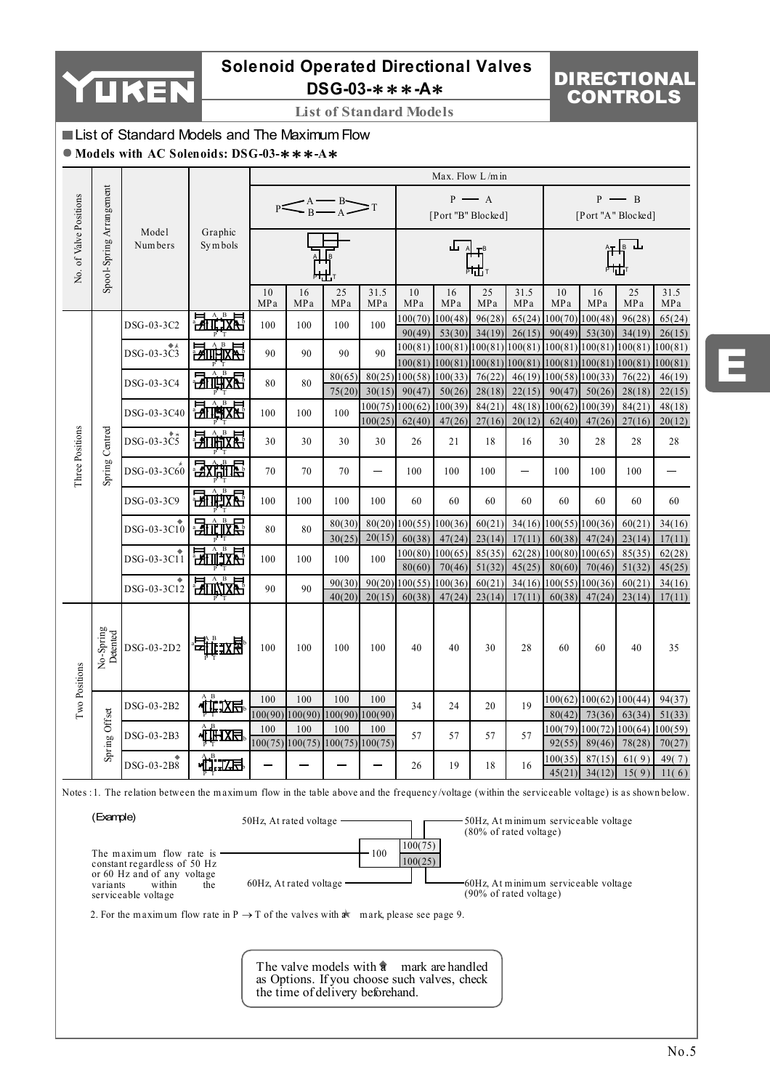

## **Solenoid Operated Directional Valves DSG-03-**∗∗∗**-A**∗

## **List of Standard Models**

## DIRECTIONAL CONTROLS

## List of Standard Models and The Maximum Flow

## **Models with AC Solenoids: DSG-03-**∗∗∗**-A**∗

|                        |                                                                                                              |                                                                                                                                                   |                        |           |                                         |                        |                   | Max. Flow L/min               |                                 |                       |                                   |                                  |                                                          |                   |                                        |
|------------------------|--------------------------------------------------------------------------------------------------------------|---------------------------------------------------------------------------------------------------------------------------------------------------|------------------------|-----------|-----------------------------------------|------------------------|-------------------|-------------------------------|---------------------------------|-----------------------|-----------------------------------|----------------------------------|----------------------------------------------------------|-------------------|----------------------------------------|
|                        |                                                                                                              |                                                                                                                                                   |                        |           | $P \leq$ $A \leq B$                     |                        |                   |                               | [Port "B" Blocked]              | $P \longrightarrow A$ |                                   |                                  | [Port "A" Blocked]                                       | $P \rightarrow B$ |                                        |
| No. of Valve Positions | Spool-Spring Arrangement                                                                                     | Model<br>Numbers                                                                                                                                  | Graphic<br>Symbols     |           |                                         |                        |                   |                               | ىل                              |                       |                                   |                                  |                                                          |                   |                                        |
|                        |                                                                                                              |                                                                                                                                                   |                        | 10<br>MPa | 16<br>MPa                               | 25<br>MPa              | 31.5<br>MPa       | 10<br>MPa                     | 16<br>MPa                       | 25<br>MPa             | 31.5<br>MPa                       | 10<br>MPa                        | 16<br>MPa                                                | 25<br>MPa         | 31.5<br>MPa                            |
|                        |                                                                                                              | DSG-03-3C2                                                                                                                                        | <b>Extâne</b>          | 100       | 100                                     | 100                    | 100               | 100(70)<br>90(49)             | 100(48)<br>53(30)               | 96(28)<br>34(19)      | 65(24)<br>26(15)                  | 100(70)<br>90(49)                | 100(48)<br>53(30)                                        | 96(28)<br>34(19)  | 65(24)<br>26(15)                       |
|                        |                                                                                                              | DSG-03-3C3                                                                                                                                        | <b>PATTIFIX RH</b>     | 90        | 90                                      | 90                     | 90                | 100(81)                       | 100(81)                         | 100(81)               | 100(81)                           |                                  | 100(81) 100(81)                                          | 100(81)           | 100(81)                                |
|                        |                                                                                                              | DSG-03-3C4                                                                                                                                        | 动画板                    | 80        | 80                                      | 80(65)                 | 80(25)            | 100(58)                       | $100(81)$ $ 100(81)$<br>100(33) | 100(81)<br>76(22)     | 100(81)<br>46(19)                 |                                  | $[100(81)]$ $[100(81)]$ $[100(81)]$<br>$100(58)$ 100(33) | 76(22)            | 100(81)<br>46(19)                      |
|                        |                                                                                                              |                                                                                                                                                   | $A$ $B$<br><b>另心的话</b> |           |                                         | 75(20)                 | 30(15)<br>100(75) | 90(47)<br>100(62)             | 50(26)<br>100(39)               | 28(18)<br>84(21)      | 22(15)                            | 90(47)<br>48(18) 100(62) 100(39) | 50(26)                                                   | 28(18)<br>84(21)  | 22(15)<br>48(18)                       |
|                        |                                                                                                              | DSG-03-3C40                                                                                                                                       |                        | 100       | 100                                     | 100                    | 100(25)           | 62(40)                        | 47(26)                          | 27(16)                | 20(12)                            | 62(40)                           | 47(26)                                                   | 27(16)            | 20(12)                                 |
|                        |                                                                                                              | $DSG-03-3C5$                                                                                                                                      | 动航速                    | 30        | 30                                      | 30                     | 30                | 26                            | 21                              | 18                    | 16                                | 30                               | 28                                                       | 28                | 28                                     |
| Three Positions        | Spring Centred                                                                                               | DSG-03-3C60                                                                                                                                       | 法难道                    | 70        | 70                                      | 70                     |                   | 100                           | 100                             | 100                   |                                   | 100                              | 100                                                      | 100               |                                        |
|                        |                                                                                                              | DSG-03-3C9                                                                                                                                        | <b>HITHIXR</b>         | 100       | 100                                     | 100                    | 100               | 60                            | 60                              | 60                    | 60                                | 60                               | 60                                                       | 60                | 60                                     |
|                        |                                                                                                              | DSG-03-3C10                                                                                                                                       | <b>EATTEITX RE</b>     | 80        | 80                                      | 80(30)<br>30(25)       | 80(20)<br>20(15)  | $100(55)$ $100(36)$<br>60(38) | 47(24)                          | 60(21)<br>23(14)      | 17(11)                            | 60(38)                           | $34(16)$   100(55)  100(36)<br>47(24)                    | 60(21)<br>23(14)  | 34(16)<br>17(11)                       |
|                        |                                                                                                              |                                                                                                                                                   |                        |           |                                         |                        |                   |                               | $100(80)$ $100(65)$             | 85(35)                |                                   | $62(28)$ (100(80) (100(65)       |                                                          | 85(35)            | 62(28)                                 |
|                        |                                                                                                              | DSG-03-3C11                                                                                                                                       | <b>HITTER</b>          | 100       | 100                                     | 100                    | 100               | 80(60)                        | 70(46)                          | 51(32)                | 45(25)                            | 80(60)                           | 70(46)                                                   | 51(32)            | 45(25)                                 |
|                        |                                                                                                              | DSG-03-3C12                                                                                                                                       | <b>EATTENTION</b>      | 90        | 90                                      | 90(30)<br>40(20)       | 90(20)<br>20(15)  | 100(55)<br>60(38)             | 100(36)<br>47(24)               | 60(21)<br>23(14)      | 34(16)<br>17(11)                  | 100(55)<br>60(38)                | 100(36)<br>47(24)                                        | 60(21)<br>23(14)  | 34(16)<br>17(11)                       |
| Two Positions          | No-Spring<br>Detented                                                                                        | DSG-03-2D2                                                                                                                                        |                        | 100       | 100                                     | 100                    | 100               | 40                            | 40                              | 30                    | 28                                | 60                               | 60                                                       | 40                | 35                                     |
|                        |                                                                                                              | DSG-03-2B2                                                                                                                                        | _<br>仙<br>178          | 100       | 100<br>$100(90)$ $100(90)$              | 100<br>100(90) 100(90) | 100               | 34                            | 24                              | 20                    | 19                                | 80(42)                           | 100(62) 100(62) 100(44)                                  | $73(36)$ 63(34)   | 94(37)<br>51(33)                       |
|                        | Offset<br>mg                                                                                                 | DSG-03-2B3                                                                                                                                        | 征阳区                    | 100       | 100                                     | 100                    | 100               | 57                            | 57                              | 57                    | 57                                |                                  | $100(79)$ $100(72)$ $100(64)$ $100(59)$                  |                   |                                        |
|                        | Spr                                                                                                          | DSG-03-2B8                                                                                                                                        |                        |           | $100(75)$ $100(75)$ $100(75)$ $100(75)$ |                        |                   | 26                            | 19                              | 18                    | 16                                | 00(35)                           | 87(15)                                                   | 61(9)             | $92(55)$ 89(46) 78(28) 70(27)<br>49(7) |
|                        |                                                                                                              |                                                                                                                                                   |                        |           |                                         |                        |                   |                               |                                 |                       |                                   | 45(21)                           | 34(12)                                                   | 15(9)             | 11(6)                                  |
|                        |                                                                                                              | Notes : 1. The relation between the maximum flow in the table above and the frequency/voltage (within the serviceable voltage) is as shown below. |                        |           |                                         |                        |                   |                               |                                 |                       |                                   |                                  |                                                          |                   |                                        |
|                        | (Example)<br>50Hz, At rated voltage -<br>50Hz, At minimum serviceable voltage<br>(80% of rated voltage)      |                                                                                                                                                   |                        |           |                                         |                        |                   |                               |                                 |                       |                                   |                                  |                                                          |                   |                                        |
|                        | variants                                                                                                     | The maximum flow rate is<br>constant regardless of 50 Hz<br>or 60 Hz and of any voltage<br>within<br>serviceable voltage                          | the                    |           | 60Hz, At rated voltage -                |                        | - 100             | 100(75)<br>100(25)            |                                 |                       | $(90\% \text{ of rated voltage})$ |                                  | 60Hz, At minimum serviceable voltage                     |                   |                                        |
|                        | 2. For the maximum flow rate in $P \rightarrow T$ of the valves with $\mathbf{a}^*$ mark, please see page 9. |                                                                                                                                                   |                        |           |                                         |                        |                   |                               |                                 |                       |                                   |                                  |                                                          |                   |                                        |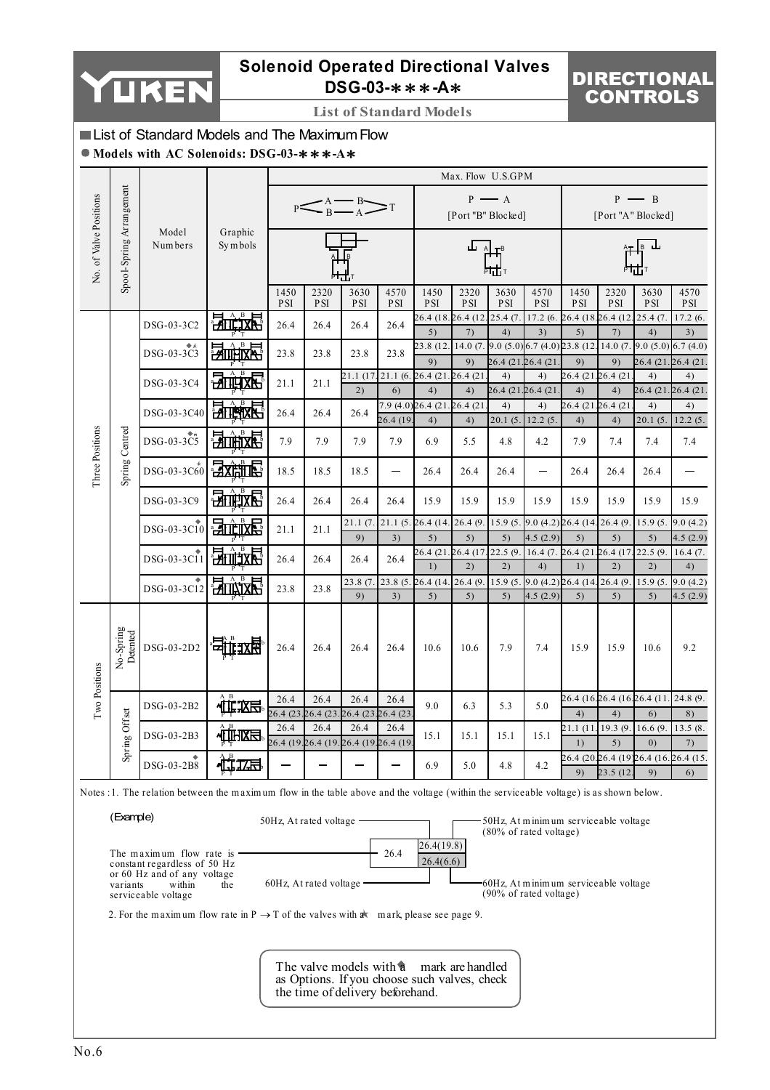

## **Solenoid Operated Directional Valves DSG-03-**∗∗∗**-A**∗



**List of Standard Models**

## List of Standard Models and The Maximum Flow

**Models with AC Solenoids: DSG-03-**∗∗∗**-A**∗

|                        |                                                                                                                                                                                                                                                                                                                                                                                              |                  |                                  |                    |                                             |                    |                          |                    | Max. Flow U.S.GPM  |                          |                                             |                          |                            |                                             |                                            |  |
|------------------------|----------------------------------------------------------------------------------------------------------------------------------------------------------------------------------------------------------------------------------------------------------------------------------------------------------------------------------------------------------------------------------------------|------------------|----------------------------------|--------------------|---------------------------------------------|--------------------|--------------------------|--------------------|--------------------|--------------------------|---------------------------------------------|--------------------------|----------------------------|---------------------------------------------|--------------------------------------------|--|
|                        |                                                                                                                                                                                                                                                                                                                                                                                              |                  |                                  |                    | $P \leq R \leq R$                           |                    |                          |                    | [Port "B" Blocked] | $P \longrightarrow A$    |                                             |                          |                            | $P \longrightarrow B$<br>[Port "A" Blocked] |                                            |  |
| No. of Valve Positions | Spool-Spring Arrangement                                                                                                                                                                                                                                                                                                                                                                     | Model<br>Numbers | Graphic<br>Symbols               |                    |                                             |                    |                          |                    | ᆚᇫᇫ                |                          |                                             |                          |                            |                                             |                                            |  |
|                        |                                                                                                                                                                                                                                                                                                                                                                                              |                  |                                  | 1450<br><b>PSI</b> | 2320<br><b>PSI</b>                          | 3630<br><b>PSI</b> | 4570<br><b>PSI</b>       | 1450<br><b>PSI</b> | 2320<br><b>PSI</b> | 3630<br><b>PSI</b>       | 4570<br><b>PSI</b>                          | 1450<br><b>PSI</b>       | 2320<br><b>PSI</b>         | 3630<br><b>PSI</b>                          | 4570<br><b>PSI</b>                         |  |
|                        |                                                                                                                                                                                                                                                                                                                                                                                              | DSG-03-3C2       | A <sub>B</sub><br><b>FALLIXE</b> | 26.4               | 26.4                                        | 26.4               | 26.4                     | 26.4 (18.<br>5)    | 26.4 (12<br>7)     | 25.4 (7)<br>4)           | 17.2(6.<br>3)                               | 26.4 (18.26.4 (12<br>5)  | 7)                         | 25.4 (7<br>4)                               | 17.2 (6.<br>3)                             |  |
|                        |                                                                                                                                                                                                                                                                                                                                                                                              | ◆★<br>DSG-03-3C3 | 河西欧                              | 23.8               | 23.8                                        | 23.8               | 23.8                     | 23.8 (12.<br>9)    | 14.0(7)<br>9)      | 26.4 (21)                | $9.0(5.0)$ 6.7 (4.0) 23.8 (12.<br>.26.4(21) | 9)                       | 14.0(7)<br>9)              | 26.4 (21                                    | $9.0(5.0)$ 6.7 (4.0)<br>26.4 (21.          |  |
|                        |                                                                                                                                                                                                                                                                                                                                                                                              | DSG-03-3C4       | <b>JULIXK</b>                    | 21.1               | 21.1                                        | 21.1 (17. 21.1 (6. |                          | 26.4 (21           | 26.4 (21)          | 4)                       | 4)                                          | 26.4 (21.26.4 (21        |                            | 4)                                          | 4)                                         |  |
|                        |                                                                                                                                                                                                                                                                                                                                                                                              | DSG-03-3C40      | 动画板                              | 26.4               |                                             | 2)<br>26.4         | 6)<br>7.9 (4.0) 26.4 (21 | 4)                 | 4)<br>26.4 (21     | 26.4 (21.26.4 (21)<br>4) | 4)                                          | 4)<br>26.4 (21.26.4 (21  | 4)                         | 26.4 (21)<br>4)                             | 26.4 (21.<br>4)                            |  |
|                        |                                                                                                                                                                                                                                                                                                                                                                                              |                  | A <sub>B</sub>                   |                    | 26.4                                        |                    | 26.4 (19                 | 4)                 | 4)                 | 20.1(5)                  | 12.2(5                                      | 4)                       | 4)                         | 20.1(5)                                     | 12.2(5.                                    |  |
|                        |                                                                                                                                                                                                                                                                                                                                                                                              | DSG-03-3C5       | <b>另一个人的</b>                     | 7.9                | 7.9                                         | 7.9                | 7.9                      | 6.9                | 5.5                | 4.8                      | 4.2                                         | 7.9                      | 7.4                        | 7.4                                         | 7.4                                        |  |
| Three Positions        | Spring Centred                                                                                                                                                                                                                                                                                                                                                                               | DSG-03-3C60      | 法难证                              | 18.5               | 18.5                                        | 18.5               |                          | 26.4               | 26.4               | 26.4                     |                                             | 26.4                     | 26.4                       | 26.4                                        |                                            |  |
|                        |                                                                                                                                                                                                                                                                                                                                                                                              | DSG-03-3C9       | 动血球员                             | 26.4               | 26.4                                        | 26.4               | 26.4                     | 15.9               | 15.9               | 15.9                     | 15.9                                        | 15.9                     | 15.9                       | 15.9                                        | 15.9                                       |  |
|                        |                                                                                                                                                                                                                                                                                                                                                                                              | DSG-03-3C10      | îΔ                               | 21.1               | 21.1                                        | 21.1(7)            | 21.1(5.                  | 26.4 (14)          | 26.4(9)            | 15.9 (5                  | $9.0(4.2)$ 26.4 (14.                        |                          | 26.4(9)                    | 15.9(5.                                     | 9.0(4.2)                                   |  |
|                        |                                                                                                                                                                                                                                                                                                                                                                                              |                  |                                  |                    |                                             | 9)                 | 3)                       | 5)<br>26.4 (21)    | 5)<br>26.4 (17     | 5)<br>22.5 (9)           | 4.5(2.9)<br>16.4(7.                         | 5)<br>26.4 (21)          | 5)<br>.26.4(17)            | 5)<br>22.5(9)                               | 4.5(2.9)<br>16.4(7.                        |  |
|                        |                                                                                                                                                                                                                                                                                                                                                                                              | DSG-03-3C11      | <b>EXETTER</b>                   | 26.4               | 26.4                                        | 26.4               | 26.4                     | 1)                 | 2)                 | 2)                       | 4)                                          | 1)                       | 2)                         | 2)                                          | 4)                                         |  |
|                        |                                                                                                                                                                                                                                                                                                                                                                                              |                  |                                  |                    |                                             | 23.8 (7.           | 23.8 (5)                 | 26.4 (14.          | 26.4(9.            | 15.9 (5)                 | $9.0(4.2)$ 26.4 (14. 26.4 (9)               |                          |                            | 15.9(5)                                     | 9.0(4.2)                                   |  |
|                        |                                                                                                                                                                                                                                                                                                                                                                                              | DSG-03-3C12      | <b>EXITENTS</b>                  | 23.8               | 23.8                                        | 9)                 | 3)                       | 5)                 | 5)                 | 5)                       | 4.5(2.9)                                    | 5)                       | 5)                         | 5)                                          | 4.5(2.9)                                   |  |
| Two Positions          | No-Spring<br>Detented                                                                                                                                                                                                                                                                                                                                                                        | DSG-03-2D2       |                                  | 26.4               | 26.4                                        | 26.4               | 26.4                     | 10.6               | 10.6               | 7.9                      | 7.4                                         | 15.9                     | 15.9                       | 10.6                                        | 9.2                                        |  |
|                        |                                                                                                                                                                                                                                                                                                                                                                                              | DSG-03-2B2       | <del>。</del><br>仙山               | 26.4               | 26.4                                        | 26.4               | 26.4                     | 9.0                | 6.3                | 5.3                      | 5.0                                         |                          | 26.4 (16.26.4 (16.26.4 (11 |                                             | 24.8 (9.                                   |  |
|                        | Offset                                                                                                                                                                                                                                                                                                                                                                                       |                  |                                  | 26.4               | 26.4 (23.26.4 (23.26.4 (23.26.4 (23<br>26.4 | 26.4               | 26.4                     |                    |                    |                          |                                             | 4)<br>21.1 (11. 19.3 (9. | 4)                         | 6)<br>16.6(9)                               | 8)<br>13.5(8.                              |  |
|                        | рg                                                                                                                                                                                                                                                                                                                                                                                           | DSG-03-2B3       | 心理地区                             |                    | 26.4 (19.26.4 (19.26.4 (19.26.4 (19.        |                    |                          | 15.1               | 15.1               | 15.1                     | 15.1                                        | 1)                       | 5)                         | 0)                                          | 7)                                         |  |
|                        | Spri                                                                                                                                                                                                                                                                                                                                                                                         | DSG-03-2B8       | IX.S                             |                    |                                             |                    |                          | 6.9                | 5.0                | 4.8                      | 4.2                                         | 9)                       | 23.5(12)                   | 9)                                          | 26.4 (20.26.4 (19.26.4 (16.26.4 (15.<br>6) |  |
|                        |                                                                                                                                                                                                                                                                                                                                                                                              |                  |                                  |                    |                                             |                    |                          |                    |                    |                          |                                             |                          |                            |                                             |                                            |  |
|                        | Notes : 1. The relation between the maximum flow in the table above and the voltage (within the serviceable voltage) is as shown below.<br>(Example)<br>50Hz, At rated voltage<br>50Hz, At minimum serviceable voltage<br>(80% of rated voltage)                                                                                                                                             |                  |                                  |                    |                                             |                    |                          |                    |                    |                          |                                             |                          |                            |                                             |                                            |  |
|                        | 26.4(19.8)<br>The maximum flow rate is<br>26.4<br>26.4(6.6)<br>constant regardless of 50 Hz<br>or 60 Hz and of any voltage<br>60Hz, At rated voltage -<br>60Hz, At minimum serviceable voltage<br>variants<br>within<br>the<br>(90% of rated voltage)<br>serviceable voltage<br>2. For the maximum flow rate in $P \rightarrow T$ of the valves with $\mathbf{a}^k$ mark, please see page 9. |                  |                                  |                    |                                             |                    |                          |                    |                    |                          |                                             |                          |                            |                                             |                                            |  |

The valve models with a mark are handled as Options. If you choose such valves, check the time of delivery beforehand.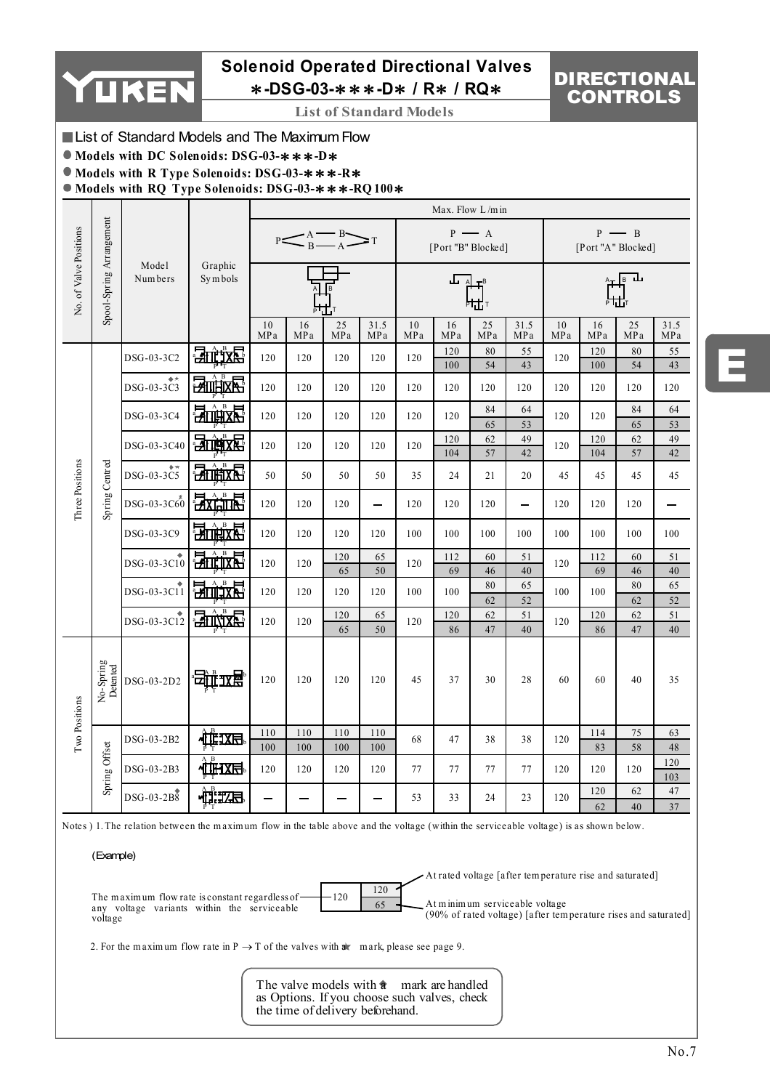

## **Solenoid Operated Directional Valves** ∗**-DSG-03-**∗∗∗**-D**∗ **/ R**∗ **/ RQ**∗

## **DIRECTIONAL** CONTROLS

**List of Standard Models**

■ List of Standard Models and The Maximum Flow

**Models with DC Solenoids: DSG-03-**∗∗∗**-D**∗

**Models with R Type Solenoids: DSG-03-**∗∗∗**-R**∗

**Models with RQ Type Solenoids: DSG-03-**∗∗∗**-RQ 100**∗

|                                   |                          |                       |                                                 |            | Max. Flow L/min |                          |                 |           |            |                                             |             |                                             |            |           |                 |
|-----------------------------------|--------------------------|-----------------------|-------------------------------------------------|------------|-----------------|--------------------------|-----------------|-----------|------------|---------------------------------------------|-------------|---------------------------------------------|------------|-----------|-----------------|
|                                   |                          |                       |                                                 |            |                 | $P \leq A \leq B \leq T$ |                 |           |            | $P \longrightarrow A$<br>[Port "B" Blocked] |             | $P \longrightarrow B$<br>[Port "A" Blocked] |            |           |                 |
| No. of Valve Positions            | Spool-Spring Arrangement | Model<br>Numbers      | Graphic<br>Symbols                              |            |                 |                          |                 | 山         |            |                                             |             | ∣в Ш                                        |            |           |                 |
|                                   |                          |                       |                                                 | 10<br>MPa  | 16<br>MPa       | 25<br>MPa                | 31.5<br>MPa     | 10<br>MPa | 16<br>MPa  | 25<br>MPa                                   | 31.5<br>MPa | 10<br>MPa                                   | 16<br>MPa  | 25<br>MPa | 31.5<br>MPa     |
|                                   |                          | DSG-03-3C2            | <b>Entixe</b>                                   | 120        | 120             | 120                      | 120             | 120       | 120<br>100 | 80<br>54                                    | 55<br>43    | 120                                         | 120<br>100 | 80<br>54  | 55<br>43        |
|                                   |                          | ◆★<br>DSG-03-3C3      | 动画网                                             | 120        | 120             | 120                      | 120             | 120       | 120        | 120                                         | 120         | 120                                         | 120        | 120       | 120             |
|                                   |                          | DSG-03-3C4            | 地对                                              | 120        | 120             | 120                      | 120             | 120       | 120        | 84<br>65                                    | 64<br>53    | 120                                         | 120        | 84<br>65  | 64<br>53        |
|                                   |                          | DSG-03-3C40           | <b>可闻地</b>                                      | 120        | 120             | 120                      | 120             | 120       | 120<br>104 | 62<br>57                                    | 49<br>42    | 120                                         | 120<br>104 | 62<br>57  | 49<br>42        |
| Three Positions<br>Spring Centred |                          | $+ \pi$<br>DSG-03-3C5 | <b>AntixE</b>                                   | 50         | 50              | 50                       | 50              | 35        | 24         | 21                                          | 20          | 45                                          | 45         | 45        | 45              |
|                                   |                          | DSG-03-3C60           | $A$ <sub><math>B</math></sub><br><b>ZEXILLE</b> | 120        | 120             | 120                      |                 | 120       | 120        | 120                                         |             | 120                                         | 120        | 120       |                 |
|                                   |                          | DSG-03-3C9            | 。<br>孙仲怀                                        | 120        | 120             | 120                      | 120             | 100       | 100        | 100                                         | 100         | 100                                         | 100        | 100       | 100             |
|                                   |                          | DSG-03-3C10           | $\mathbf{B}$<br>品质版目                            | 120        | 120             | 120<br>65                | 65<br>50        | 120       | 112<br>69  | 60<br>46                                    | 51<br>40    | 120                                         | 112<br>69  | 60<br>46  | 51<br>$40\,$    |
|                                   |                          | DSG-03-3C11           | <b>Faritiske</b>                                | 120        | 120             | 120                      | 120             | 100       | 100        | 80<br>62                                    | 65<br>52    | 100                                         | 100        | 80<br>62  | 65<br>52        |
|                                   |                          | DSG-03-3C12           | <b>Extricts</b>                                 | 120        | 120             | 120                      | 65              | 120       | 120        | 62                                          | 51          | 120                                         | 120        | 62        | 51              |
|                                   |                          |                       |                                                 |            |                 | 65                       | $\overline{50}$ |           | 86         | 47                                          | 40          |                                             | 86         | 47        | 40              |
|                                   | No-Spring<br>Detented    | DSG-03-2D2            | <u>निप्त ग्राह्य</u>                            | 120        | 120             | 120                      | 120             | 45        | 37         | 30                                          | 28          | 60                                          | 60         | 40        | 35              |
| Two Positions                     |                          | DSG-03-2B2            | 雌巫                                              | $110$      | 110             | 110                      | 110             | 68        | 47         | 38                                          | 38          | 120                                         | 114        | 75        | 63              |
|                                   | Spring Offset            | DSG-03-2B3            | 仙林图                                             | 100<br>120 | 100<br>120      | 100<br>120               | 100<br>120      | 77        | 77         | 77                                          | 77          | 120                                         | 83<br>120  | 58<br>120 | 48<br>120       |
|                                   |                          | DSG-03-2B8            | 心理地                                             |            |                 |                          |                 | 53        | 33         | 24                                          | 23          | 120                                         | 120<br>62  | 62<br>40  | 103<br>47<br>37 |

Notes ) 1. The relation between the maximum flow in the table above and the voltage (within the serviceable voltage) is as shown below.

#### (Example)

|                                                                                                                    | At rated voltage [after temperature rise and saturated]                                                       |
|--------------------------------------------------------------------------------------------------------------------|---------------------------------------------------------------------------------------------------------------|
| The maximum flow rate is constant regardless of $-$ -120<br>any voltage variants within the serviceable<br>voltage | 120<br>At minimum serviceable voltage<br>65<br>(90% of rated voltage) [after temperature rises and saturated] |

2. For the maximum flow rate in  $P \rightarrow T$  of the valves with  $\pi$  mark, please see page 9.

The valve models with  $\hat{\mathbf{a}}$  mark are handled as Options. If you choose such valves, check the time of delivery beforehand.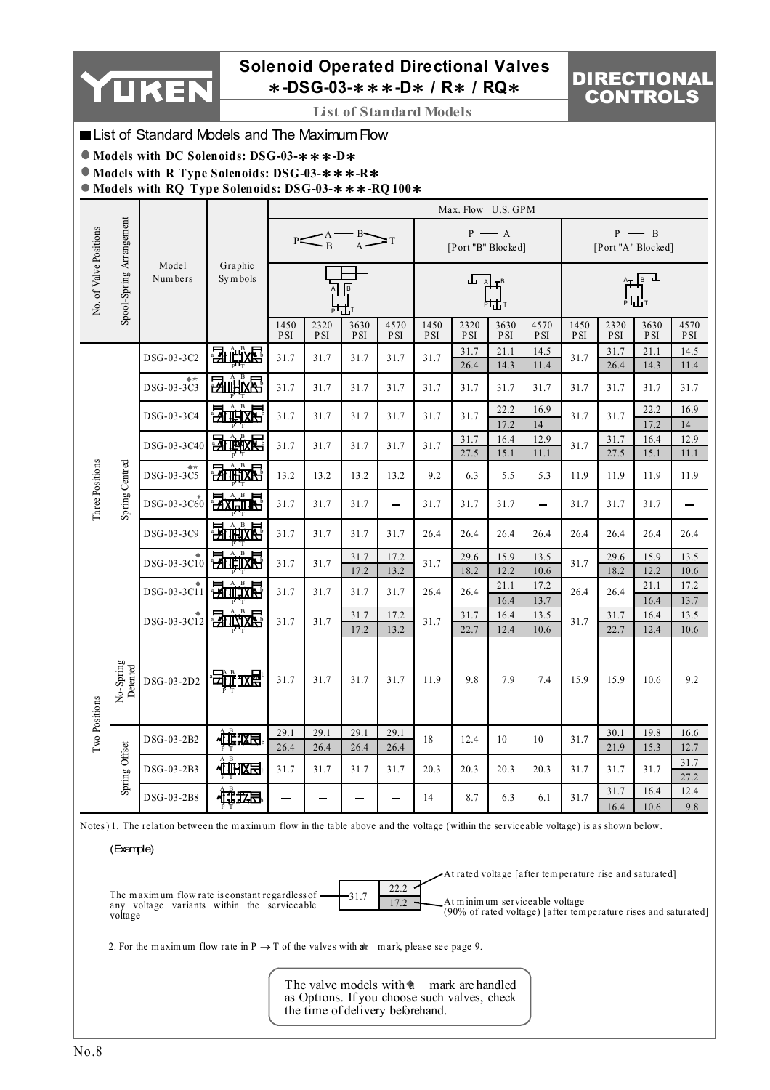

## **Solenoid Operated Directional Valves** ∗**-DSG-03-**∗∗∗**-D**∗ **/ R**∗ **/ RQ**∗

## DIRECTIONAL CONTROLS

**List of Standard Models**

**List of Standard Models and The Maximum Flow** 

**Models with DC Solenoids: DSG-03-**∗∗∗**-D**∗

**Models with R Type Solenoids: DSG-03-**∗∗∗**-R**∗

**Models with RQ Type Solenoids: DSG-03-**∗∗∗**-RQ 100**∗

|                        |                          |                                        |                           |              | Max. Flow U.S. GPM       |              |              |             |                    |                       |              |                                             |                    |              |              |  |
|------------------------|--------------------------|----------------------------------------|---------------------------|--------------|--------------------------|--------------|--------------|-------------|--------------------|-----------------------|--------------|---------------------------------------------|--------------------|--------------|--------------|--|
|                        |                          |                                        |                           |              | $P \leq A \leq B \leq T$ |              |              |             | [Port "B" Blocked] | $P \longrightarrow A$ |              | $P \longrightarrow B$<br>[Port "A" Blocked] |                    |              |              |  |
| No. of Valve Positions | Spool-Spring Arrangement | Model<br>Graphic<br>Numbers<br>Symbols |                           |              |                          |              |              | ىل<br>יההי  |                    |                       |              |                                             | <sub>՛</sub> _ ∍ ⊥ |              |              |  |
|                        |                          |                                        |                           | 1450<br>PSI  | 2320<br>PSI              | 3630<br>PSI  | 4570<br>PSI  | 1450<br>PSI | 2320<br>PSI        | 3630<br>PSI           | 4570<br>PSI  | 1450<br>PSI                                 | 2320<br>PSI        | 3630<br>PSI  | 4570<br>PSI  |  |
|                        |                          | DSG-03-3C2                             | <b>Entrixe</b>            | 31.7         | 31.7                     | 31.7         | 31.7         | 31.7        | 31.7<br>26.4       | 21.1<br>14.3          | 14.5<br>11.4 | 31.7                                        | 31.7<br>26.4       | 21.1<br>14.3 | 14.5<br>11.4 |  |
|                        |                          | $DSG-03-3C3$                           | <b>PADIHIXA</b>           | 31.7         | 31.7                     | 31.7         | 31.7         | 31.7        | 31.7               | 31.7                  | 31.7         | 31.7                                        | 31.7               | 31.7         | 31.7         |  |
|                        |                          | DSG-03-3C4                             |                           | 31.7         | 31.7                     | 31.7         | 31.7         | 31.7        | 31.7               | 22.2<br>17.2          | 16.9<br>14   | 31.7                                        | 31.7               | 22.2<br>17.2 | 16.9<br>14   |  |
|                        |                          | DSG-03-3C40                            | 动画板                       | 31.7         | 31.7                     | 31.7         | 31.7         | 31.7        | 31.7<br>27.5       | 16.4<br>15.1          | 12.9<br>11.1 | 31.7                                        | 31.7<br>27.5       | 16.4<br>15.1 | 12.9<br>11.1 |  |
|                        |                          | $DSG-03-3C5$                           | $\overline{B}$<br>河曲人     | 13.2         | 13.2                     | 13.2         | 13.2         | 9.2         | 6.3                | 5.5                   | 5.3          | 11.9                                        | 11.9               | 11.9         | 11.9         |  |
| Three Positions        | Spring Centred           | DSG-03-3C60                            | <b>Exiting</b>            | 31.7         | 31.7                     | 31.7         | —            | 31.7        | 31.7               | 31.7                  | —            | 31.7                                        | 31.7               | 31.7         |              |  |
|                        |                          | DSG-03-3C9                             |                           | 31.7         | 31.7                     | 31.7         | 31.7         | 26.4        | 26.4               | 26.4                  | 26.4         | 26.4                                        | 26.4               | 26.4         | 26.4         |  |
|                        |                          | DSG-03-3C10                            | 动地区                       | 31.7         | 31.7                     | 31.7<br>17.2 | 17.2<br>13.2 | 31.7        | 29.6<br>18.2       | 15.9<br>12.2          | 13.5<br>10.6 | 31.7                                        | 29.6<br>18.2       | 15.9<br>12.2 | 13.5<br>10.6 |  |
|                        |                          | DSG-03-3C11                            | $\mathbf{B}$<br>ਜ਼ੋਸ      | 31.7         | 31.7                     | 31.7         | 31.7         | 26.4        | 26.4               | 21.1<br>16.4          | 17.2<br>13.7 | 26.4                                        | 26.4               | 21.1<br>16.4 | 17.2<br>13.7 |  |
|                        |                          | DSG-03-3C12                            | <b>Elmark</b>             | 31.7         | 31.7                     | 31.7<br>17.2 | 17.2<br>13.2 | 31.7        | 31.7<br>22.7       | 16.4<br>12.4          | 13.5<br>10.6 | 31.7                                        | 31.7<br>22.7       | 16.4<br>12.4 | 13.5<br>10.6 |  |
| Two Positions          | No-Spring<br>Detented    | DSG-03-2D2                             | र्ध्यक्षे स्टि<br>जीप्राध | 31.7         | 31.7                     | 31.7         | 31.7         | 11.9        | 9.8                | 7.9                   | 7.4          | 15.9                                        | 15.9               | 10.6         | 9.2          |  |
|                        |                          | DSG-03-2B2                             | 位に出す                      | 29.1<br>26.4 | 29.1<br>26.4             | 29.1<br>26.4 | 29.1<br>26.4 | 18          | 12.4               | 10                    | 10           | 31.7                                        | 30.1<br>21.9       | 19.8<br>15.3 | 16.6<br>12.7 |  |
|                        | Spring Offset            | DSG-03-2B3                             | 心理不                       | 31.7         | 31.7                     | 31.7         | 31.7         | 20.3        | 20.3               | 20.3                  | 20.3         | 31.7                                        | 31.7               | 31.7         | 31.7<br>27.2 |  |
|                        |                          | DSG-03-2B8                             | ÎÏ<br>出点                  |              |                          |              |              | 14          | 8.7                | 6.3                   | 6.1          | 31.7                                        | 31.7<br>16.4       | 16.4<br>10.6 | 12.4<br>9.8  |  |

Notes) 1. The relation between the maximum flow in the table above and the voltage (within the serviceable voltage) is as shown below.

#### (Example)

|                                                                                                                        | At rated voltage [after temperature rise and saturated]                                                           |
|------------------------------------------------------------------------------------------------------------------------|-------------------------------------------------------------------------------------------------------------------|
| The maximum flow rate is constant regardless of $-$ -31.7<br>voltage variants within the serviceable<br>any<br>voltage | $22.2$ $\sim$<br>At minimum serviceable voltage<br>(90% of rated voltage) [after temperature rises and saturated] |

2. For the maximum flow rate in  $P \rightarrow T$  of the valves with  $\pi$  mark, please see page 9.

The valve models with **a** mark are handled as Options. If you choose such valves, check the time of delivery beforehand.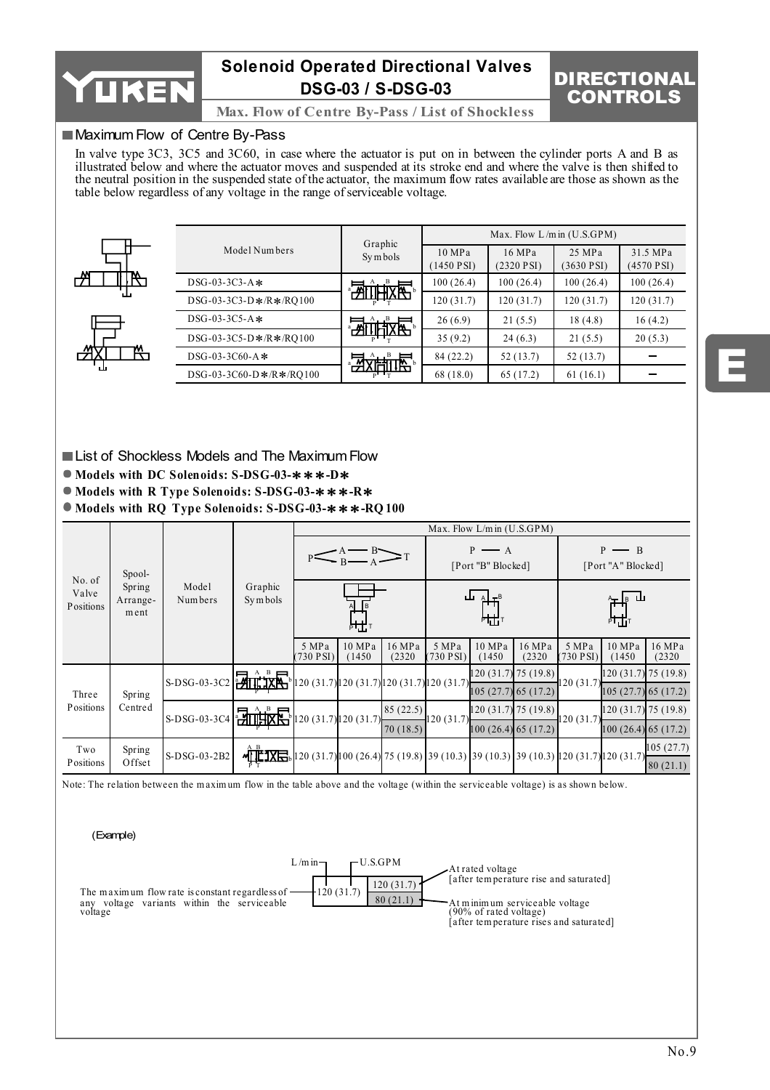

 $H^+$ 

## **Solenoid Operated Directional Valves DSG-03 / S-DSG-03**

**Max. Flow of Centre By-Pass / List of Shockless** 

## Maximum Flow of Centre By-Pass

In valve type 3C3, 3C5 and 3C60, in case where the actuator is put on in between the cylinder ports A and B as illustrated below and where the actuator moves and suspended at its stroke end and where the valve is then shifted to the neutral position in the suspended state of the actuator, the maximum flow rates available are those as shown as the table below regardless of any voltage in the range of serviceable voltage.

|      |                              | Graphic         | Max. Flow $L/m$ in $(U.S.GPM)$ |                                |                      |                        |  |  |
|------|------------------------------|-----------------|--------------------------------|--------------------------------|----------------------|------------------------|--|--|
|      | Model Numbers                | Symbols         | 10 MPa<br>$(1450$ PSI)         | 16 MPa<br>$(2320 \text{ PSI})$ | 25 MPa<br>(3630 PSI) | 31.5 MPa<br>(4570 PSI) |  |  |
| ₩    | $DSG-03-3C3-A*$              |                 | 100(26.4)                      | 100(26.4)                      | 100(26.4)            | 100(26.4)              |  |  |
| 'nШ. | $DSG-03-3C3-D+R+RO100$       | <b>ATTHIXE</b>  | 120(31.7)                      | 120(31.7)                      | 120(31.7)            | 120(31.7)              |  |  |
|      | $DSG-03-3C5-A*$              | <b>FALIHIXE</b> | 26(6.9)                        | 21(5.5)                        | 18(4.8)              | 16(4.2)                |  |  |
|      | $DSG-03-3C5-D* / R* / RQ100$ |                 | 35(9.2)                        | 24(6.3)                        | 21(5.5)              | 20(5.3)                |  |  |
| ľ۷   | DSG-03-3C60-A $*$            | <b>"为不可可可</b> " | 84 (22.2)                      | 52(13.7)                       | 52(13.7)             |                        |  |  |
| ய    | DSG-03-3C60-D*/R*/RQ100      |                 | 68(18.0)                       | 65(17.2)                       | 61(16.1)             |                        |  |  |

## ■ List of Shockless Models and The Maximum Flow

- **Models with DC Solenoids: S-DSG-03-**∗∗∗**-D**∗
- **Models with R Type Solenoids: S-DSG-03-**∗∗∗**-R**∗
- **Models with RQ Type Solenoids: S-DSG-03-**∗∗∗**-RQ 100**

|                              |                            |                                      |                                                                                                                            |                                       |                 |                                             |                                            | Max. Flow L/m in (U.S.GPM) |                             |                      |                  |                       |
|------------------------------|----------------------------|--------------------------------------|----------------------------------------------------------------------------------------------------------------------------|---------------------------------------|-----------------|---------------------------------------------|--------------------------------------------|----------------------------|-----------------------------|----------------------|------------------|-----------------------|
|                              | Spool-                     |                                      | $\leq$ $\frac{A}{B}$ $\frac{B}{A}$                                                                                         |                                       |                 | $P \longrightarrow A$<br>[Port "B" Blocked] |                                            |                            | $-$ B<br>[Port "A" Blocked] |                      |                  |                       |
| No. of<br>Valve<br>Positions | Spring<br>Arrange-<br>ment | Model<br>Numbers                     | Graphic<br>Symbols                                                                                                         |                                       | ᡰ╅╅             |                                             |                                            | $AI - B$<br>ய<br>ᅢᅶ        |                             |                      | டி ப<br>ᄟ        |                       |
|                              |                            |                                      |                                                                                                                            | 5 MPa<br>$(730$ PSI)                  | 10 MPa<br>1450) | 16 MPa<br>(2320)                            | 5 MPa<br>$(730$ PSI)                       | 10 MPa<br>1450             | 16 MPa<br>(2320)            | 5 MPa<br>$(730$ PSI) | 10 MPa<br>(1450) | 16 MPa<br>(2320)      |
|                              |                            | $\left  \text{s-DSG-03-3C2} \right $ |                                                                                                                            |                                       |                 |                                             | $20(31.7)[120(31.7)[120(31.7)][120(31.7)]$ |                            | $120(31.7)$ 75 (19.8)       | 120(31.7)            |                  | $120(31.7)$ 75 (19.8) |
| Three                        | Spring                     |                                      |                                                                                                                            |                                       |                 |                                             |                                            | $105(27.7)$ 65 (17.2)      |                             |                      |                  | $105(27.7)$ 65 (17.2) |
| Positions                    | Centred                    | S-DSG-03-3C4 HILLE                   |                                                                                                                            | $\frac{1}{2}$ [120 (31.7)[120 (31.7)] |                 | 85(22.5)                                    | 120(31.7)                                  | $120(31.7)$ 75 (19.8)      |                             | 120(31.7)            |                  | $120(31.7)$ 75 (19.8) |
|                              |                            |                                      |                                                                                                                            |                                       |                 | 70(18.5)                                    |                                            | $100(26.4)$ 65 (17.2)      |                             |                      |                  | $100(26.4)$ 65 (17.2) |
| Two<br>Positions             | Spring<br>Offset           | $S-DSG-03-2B2$                       | A B<br>$\sqrt{11.38}$ 1XH <sub>0</sub> 120 (31.7) 100 (26.4) 75 (19.8) 39 (10.3) 39 (10.3) 39 (10.3) 120 (31.7) 120 (31.7) |                                       |                 |                                             |                                            |                            |                             |                      |                  | 105(27.7)<br>80(21.1) |

Note: The relation between the m axim um flow in the table above and the voltage (within the serviceable voltage) is as shown below.

#### (Example)



E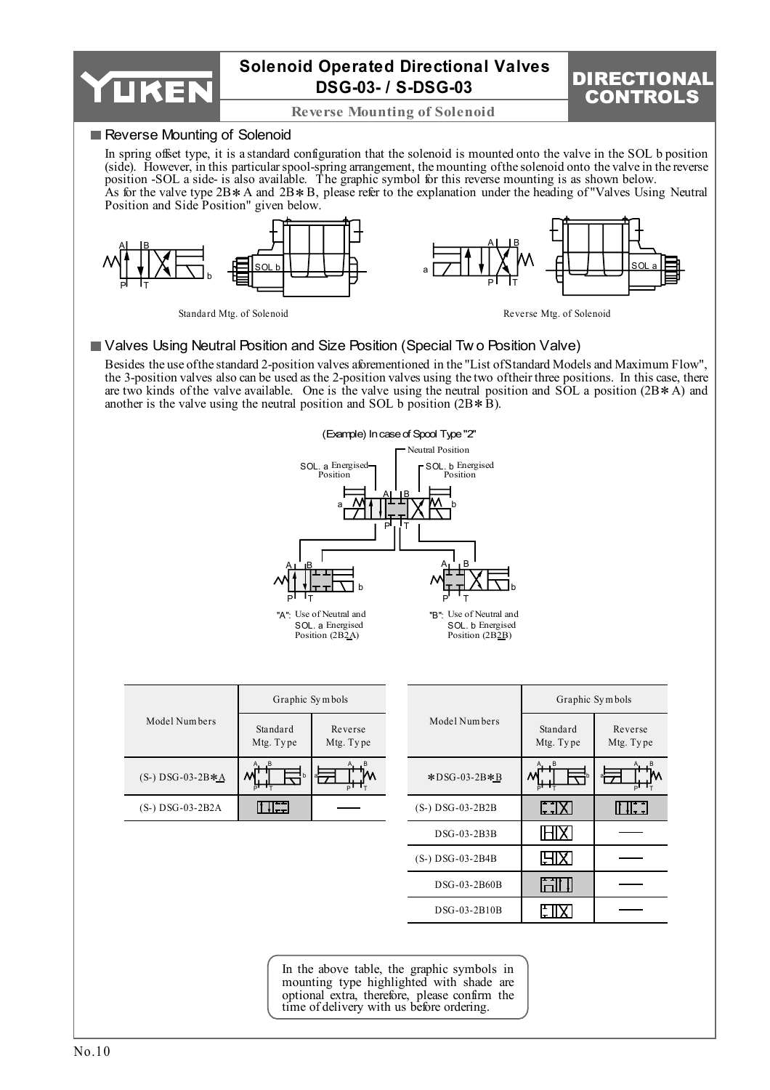



**Reverse Mounting of Solenoid**

## Reverse Mounting of Solenoid

In spring offset type, it is a standard configuration that the solenoid is mounted onto the valve in the SOL b position (side). However, in this particular spool-spring arrangement, the mounting of the solenoid onto the valve in the reverse position -SOL a side- is also available. The graphic symbol for this reverse mounting is as shown below. As for the valve type 2B∗ A and 2B∗B, please refer to the explanation under the heading of "Valves Using Neutral Position and Side Position" given below.



Standard Mtg. of Solenoid Reverse Mtg. of Solenoid

## Valves Using Neutral Position and Size Position (Special Tw o Position Valve)

Besides the use of the standard 2-position valves aforementioned in the "List of Standard Models and Maximum Flow", the 3-position valves also can be used as the 2-position valves using the two of their three positions. In this case, there are two kinds of the valve available. One is the valve using the neutral position and SOL a position (2B∗ A) and another is the valve using the neutral position and SOL b position (2B∗B).



| Position (2B2A) |
|-----------------|
|                 |
|                 |
| Graphic Symbols |

b

a

A B P T

Reverse Mtg. Ty pe

A B P T

Standard Mtg. Ty pe

i i i i s

(S-) DSG-03-2B∗<sup>A</sup>

Model Num bers

(S-) DSG-03-2B2A

|                    | Graphic Symbols       |                      |
|--------------------|-----------------------|----------------------|
| Model Numbers      | Standard<br>Mtg. Type | Reverse<br>Mtg. Type |
| $*DSG-03-2B*B$     |                       |                      |
| $(S-)$ DSG-03-2B2B | EIX                   | $\mathbb{R}^2$       |
| $DSG-03-2B3B$      |                       |                      |
| $(S-)$ DSG-03-2B4B |                       |                      |
| DSG-03-2B60B       |                       |                      |
| DSG-03-2B10B       |                       |                      |

In the above table, the graphic symbols in mounting type highlighted with shade are optional extra, therefore, please confirm the time of delivery with us before ordering.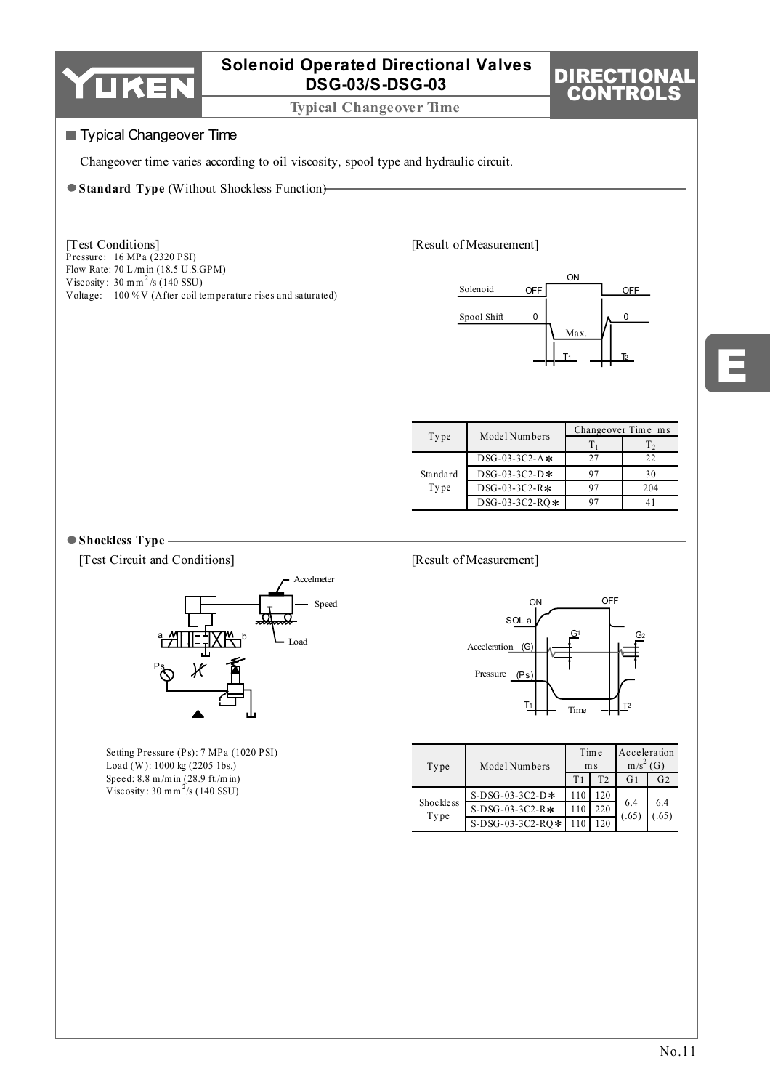

**Typical Changeover Time**

## **Typical Changeover Time**

Changeover time varies according to oil viscosity, spool type and hydraulic circuit.

#### **Standard Type** (Without Shockless Function)

Pressure: 16 MPa (2320 PSI) Flow Rate: 70 L/m in (18.5 U.S.GPM)<br>Viscosity: 30 m m<sup>2</sup>/s (140 SSU) Voltage: 100 %V (After coil temperature rises and saturated) [Test Conditions] Flow Rate:  $70 L/m$  in  $(18.5 U.S.GPM)$ 

#### [Result of Measurement]



DIRECTIONAL CONTROLS

|          | Model Numbers    | Changeover Time ms |     |  |  |
|----------|------------------|--------------------|-----|--|--|
| Type     |                  |                    |     |  |  |
|          | DSG-03-3C2-A $*$ |                    | 22  |  |  |
| Standard | $DSG-03-3C2-D*$  |                    | 30  |  |  |
| Type     | $DSG-03-3C2-R*$  |                    | 204 |  |  |
|          | DSG-03-3C2-RO*   |                    |     |  |  |

#### **Shockless Type**

[Test Circuit and Conditions]



Setting Pressure (Ps): 7 MPa (1020 PSI) Load (W): 1000 kg (2205 1bs.) Speed: 8.8 m/m in (28.9 ft./m in)<br>Viscosity : 30 m m<sup>2</sup>/s (140 SSU)

#### [Result of Measurement]



| Type              | Model Numbers       | Time<br>m <sub>s</sub> |                | Acceleration<br>$m/s2$ (G) |                |
|-------------------|---------------------|------------------------|----------------|----------------------------|----------------|
|                   |                     | T <sub>1</sub>         | T <sub>2</sub> | G1                         | G <sub>2</sub> |
|                   | $S-DSG-03-3C2-D*$   | 110                    | 120            |                            |                |
| Shockless<br>Type | $S-DSG-03-3C2-R*$   | 110                    | 220            | 6.4<br>(.65)               | 6.4<br>(65)    |
|                   | S-DSG-03-3C2-RO $*$ |                        | 120            |                            |                |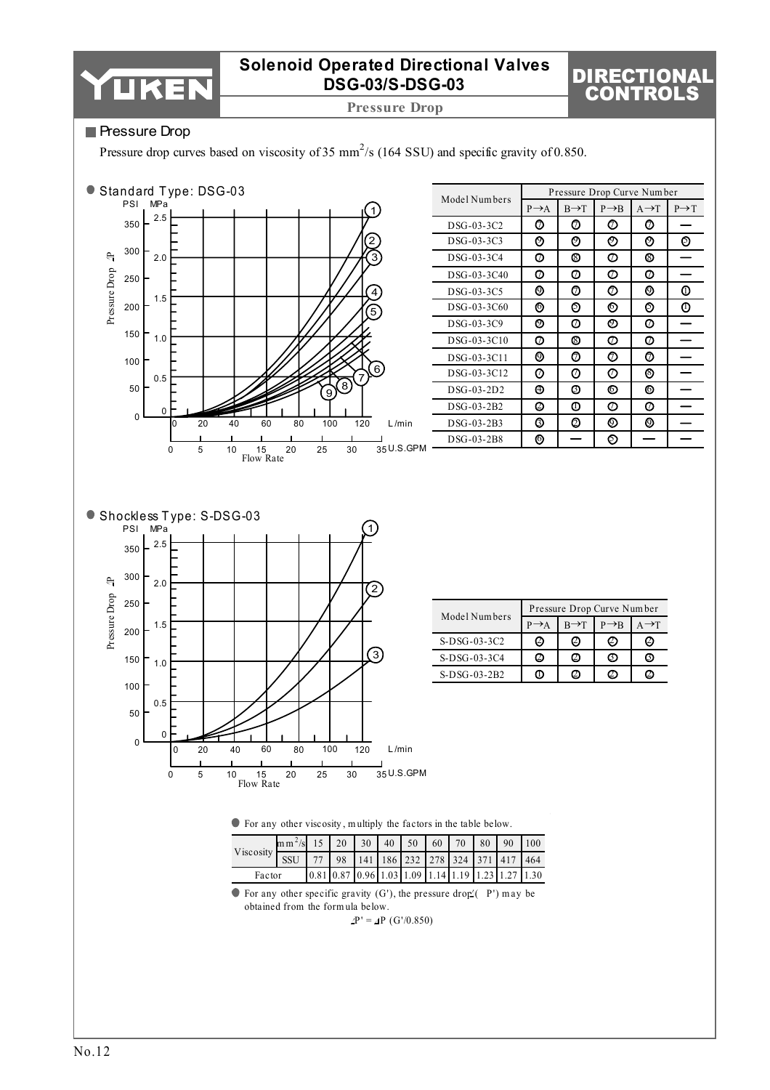

**Pressure Drop**

## DIRECTIONAL CONTROLS

## **Pressure Drop**

Pressure drop curves based on viscosity of 35 mm<sup>2</sup>/s (164 SSU) and specific gravity of 0.850.



| Model Numbers |                   |                   | Pressure Drop Curve Number |                   |                   |
|---------------|-------------------|-------------------|----------------------------|-------------------|-------------------|
|               | $P \rightarrow A$ | $B \rightarrow T$ | $P \rightarrow B$          | $A \rightarrow T$ | $P \rightarrow T$ |
| DSG-03-3C2    | Ø                 | Ø                 | Ø                          | Ø                 |                   |
| DSG-03-3C3    | Ø                 | Ø                 | Ø                          | Ø                 | の                 |
| DSG-03-3C4    | Ø                 | ⊗                 | ⊙                          | ⊗                 |                   |
| DSG-03-3C40   | Ø                 | Ø                 | Ø                          | Ø                 |                   |
| DSG-03-3C5    | ⊚                 | Ø                 | Ø                          | 0                 | ⊕                 |
| DSG-03-3C60   | ⊚                 | ⊚                 | ⊚                          | ⊚                 | ወ                 |
| DSG-03-3C9    | O                 | Ø                 | ℗                          | Ø                 |                   |
| DSG-03-3C10   | Ø                 | ⊗                 | Ø                          | Ø                 |                   |
| DSG-03-3C11   | 0                 | Ø                 | Ø                          | Ø                 |                   |
| DSG-03-3C12   | の                 | の                 | の                          | ⊗                 |                   |
| $DSG-03-2D2$  | ⊕                 | ❹                 | ⊚                          | ⊚                 |                   |
| DSG-03-2B2    | Ø                 | Φ                 | の                          | Ω                 |                   |
| DSG-03-2B3    | 0                 | Ø                 | ⊚                          | 0                 |                   |
| DSG-03-2B8    | O                 |                   | ග                          |                   |                   |



| Model Numbers  | Pressure Drop Curve Number |                   |                   |                   |  |  |  |
|----------------|----------------------------|-------------------|-------------------|-------------------|--|--|--|
|                | $p \rightarrow A$          | $R \rightarrow T$ | $P \rightarrow B$ | $A \rightarrow T$ |  |  |  |
| S-DSG-03-3C2   | Ø                          | Ø                 |                   |                   |  |  |  |
| S-DSG-03-3C4   | 2                          | Ø                 |                   |                   |  |  |  |
| $S-DSG-03-2B2$ |                            | [2]               |                   |                   |  |  |  |

|  | $\bullet$ For any other viscosity, multiply the factors in the table below. |  |  |  |
|--|-----------------------------------------------------------------------------|--|--|--|
|  |                                                                             |  |  |  |

| Viscosity SSU 77 98 141 186 232 278 324 371 417 464 | $\text{Im}\,\text{m}^2/\text{s}$ 15 20 30 40 50 60 70 80 90 100 |  |  |  |                                                                                                             |  |  |
|-----------------------------------------------------|-----------------------------------------------------------------|--|--|--|-------------------------------------------------------------------------------------------------------------|--|--|
|                                                     |                                                                 |  |  |  |                                                                                                             |  |  |
| Factor                                              |                                                                 |  |  |  | $\left[0.81\right]0.87\left[0.96\right]1.03\left[1.09\right]1.14\left[1.19\right]1.23\left[1.27\right]1.30$ |  |  |

For any other specific gravity  $(G')$ , the pressure drop  $(P')$  may be obtained from the form ula below.

 $\Delta P' = \Delta P$  (G'/0.850)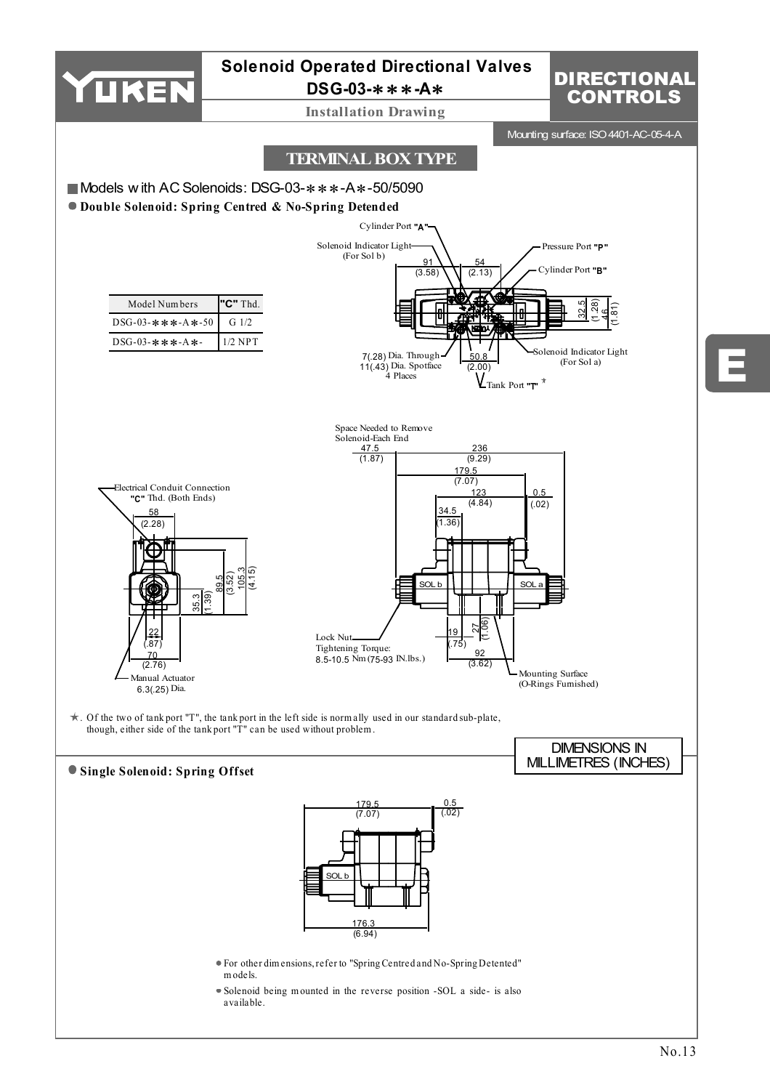

# **Solenoid Operated Directional Valves**

**DSG-03-**∗∗∗**-A**∗

**Installation Drawing**

## DIRECTIONAL CONTROLS

Mounting surface: ISO 4401-AC-05-4-A

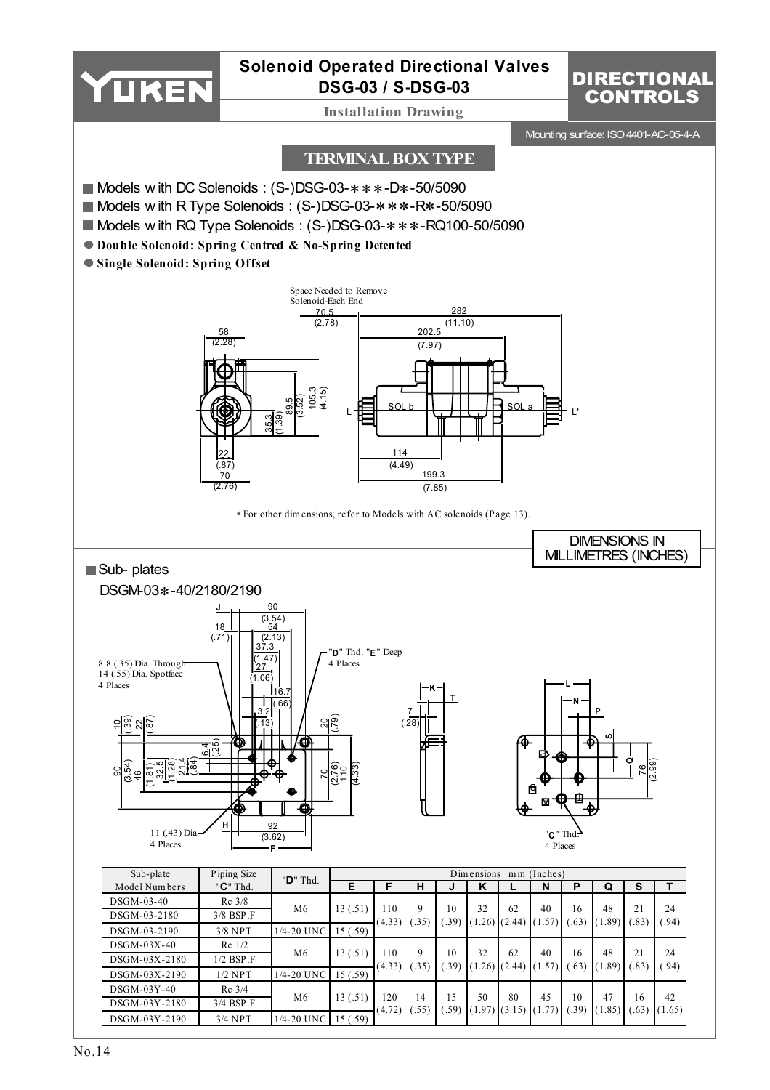

**Installation Drawing**

## DIRECTIONAL CONTROLS

Mounting surface: ISO 4401-AC-05-4-A

## **TERMINAL BOX TYPE**

- Models w ith DC Solenoids : (S-)DSG-03-∗∗∗-D∗-50/5090
- Models w ith R Type Solenoids : (S-)DSG-03-∗∗∗-R∗-50/5090
- Models w ith RQ Type Solenoids : (S-)DSG-03-\*\*\*-RQ100-50/5090
- **Double Solenoid: Spring Centred & No-Spring Detented**
- **Single Solenoid: Spring Offset**



For other dim ensions, refer to Models with AC solenoids (Page 13).

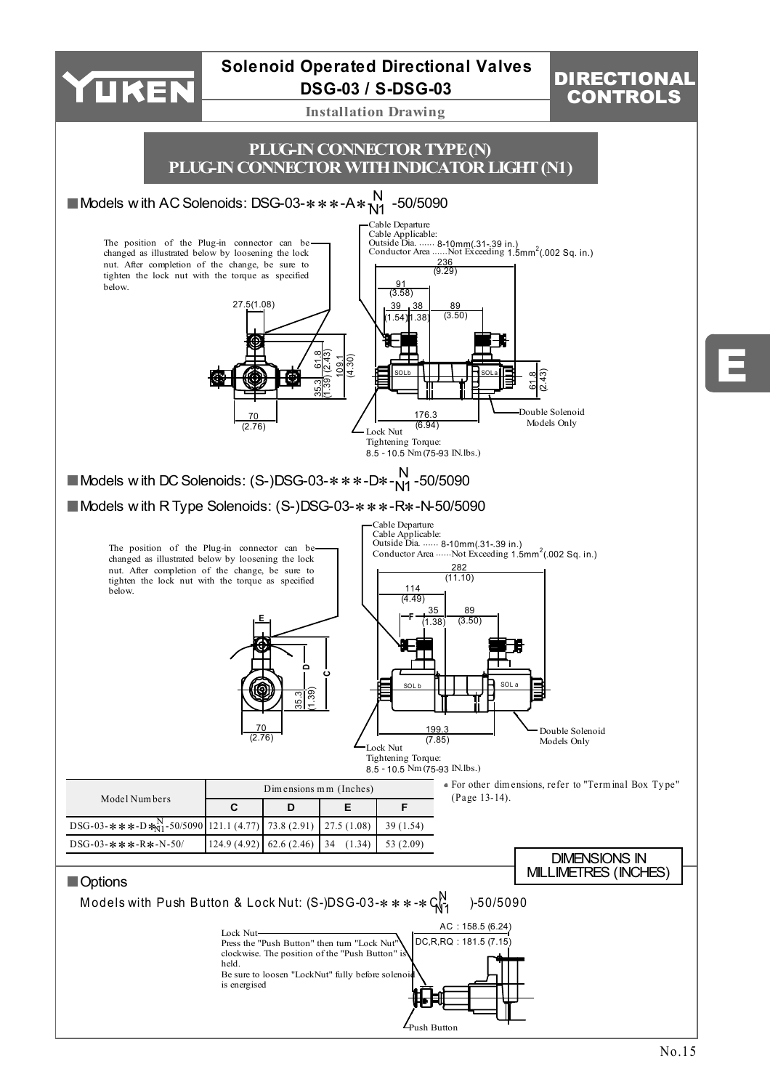

## **DIRECTIONAL** CONTROLS

E

**Installation Drawing**



Push Button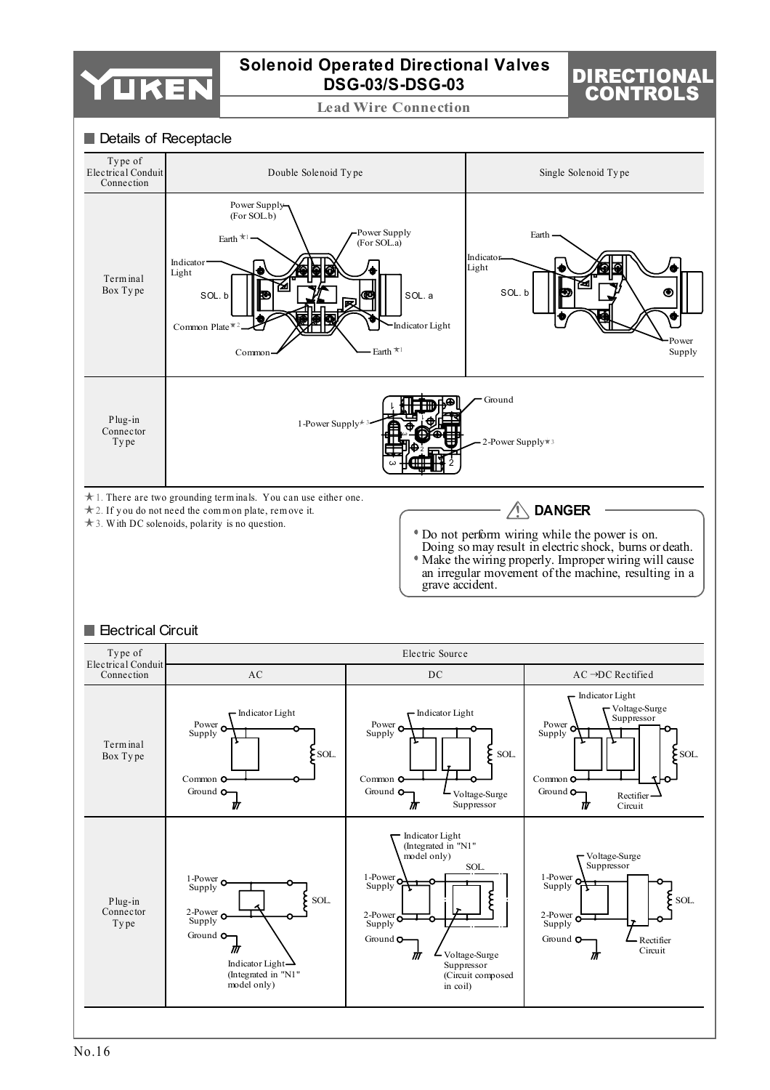

**Lead Wire Connection**

## DIRECTIONAL CONTROLS

#### Details of Receptacle

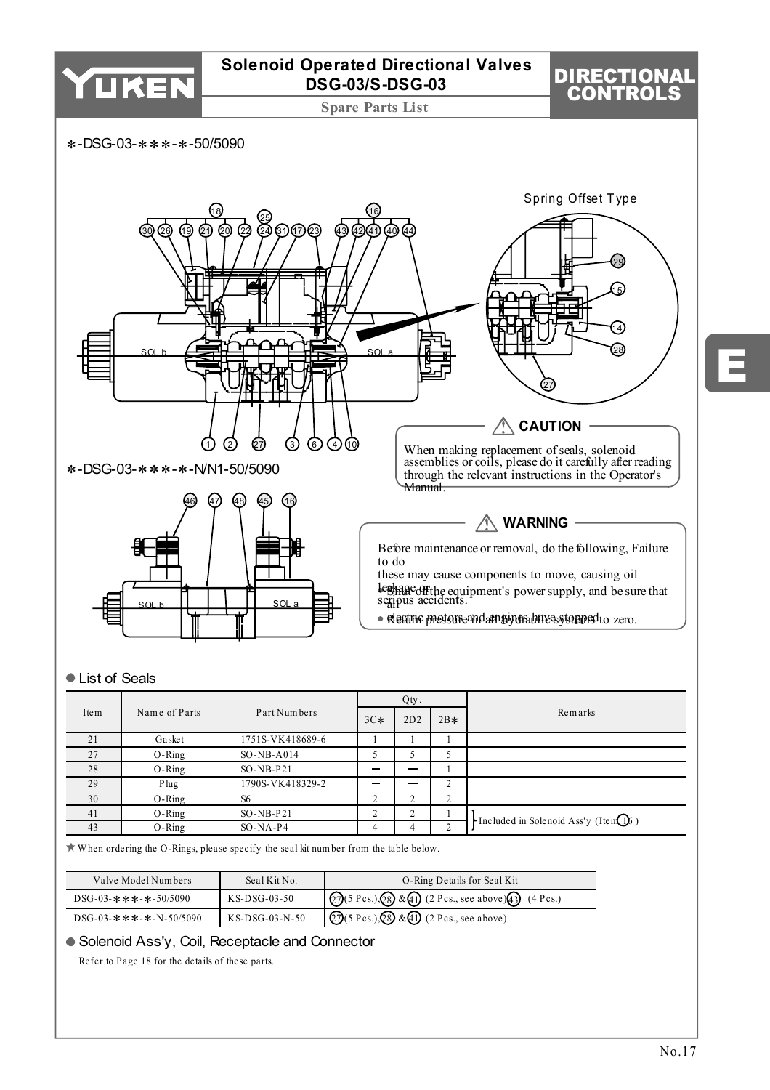

**Spare Parts List**

## DIRECTIONAL CONTROLS

∗-DSG-03-∗∗∗-∗-50/5090



### ● List of Seals

|      |               |                  |       | Qty. |                   |                                               |
|------|---------------|------------------|-------|------|-------------------|-----------------------------------------------|
| Item | Name of Parts | Part Numbers     | $3C*$ | 2D2  | $2B*$             | Remarks                                       |
| 21   | Gasket        | 1751S-VK418689-6 |       |      |                   |                                               |
| 27   | $O-Ring$      | $SO-NB-A014$     |       |      |                   |                                               |
| 28   | $O-Ring$      | $SO-NB-P21$      | -     |      |                   |                                               |
| 29   | Plug          | 1790S-VK418329-2 |       |      | $\mathcal{L}$     |                                               |
| 30   | $O-Ring$      | S <sub>6</sub>   |       |      | ◠                 |                                               |
| 41   | $O-Ring$      | $SO-NB-P21$      |       | ↑    |                   | Included in Solenoid Ass'y (Item $\bigcirc$ ) |
| 43   | $O-Ring$      | $SO-NA-P4$       |       | 4    | $\mathbf{\hat{}}$ |                                               |

 $\star$  When ordering the O-Rings, please specify the seal kit number from the table below.

| Valve Model Numbers              | Seal Kit No.     | O-Ring Details for Seal Kit                                                               |
|----------------------------------|------------------|-------------------------------------------------------------------------------------------|
| $DSG-03-*$ * * - * - 50/5090     | KS-DSG-03-50     | $\sqrt{(27)(5 \text{ Pcs.})\sqrt{(8)} \& (4)}$ (2 Pcs., see above) $\sqrt{(49)}$ (4 Pcs.) |
| $DSG-03-*$ * * - * - N - 50/5090 | $KS-DSG-03-N-50$ | $\mathcal{Q}$ (5 Pcs.), $\mathcal{Q}$ & $\mathcal{Q}$ (2 Pcs., see above)                 |

## ● Solenoid Ass'y, Coil, Receptacle and Connector

Refer to Page 18 for the details of these parts.